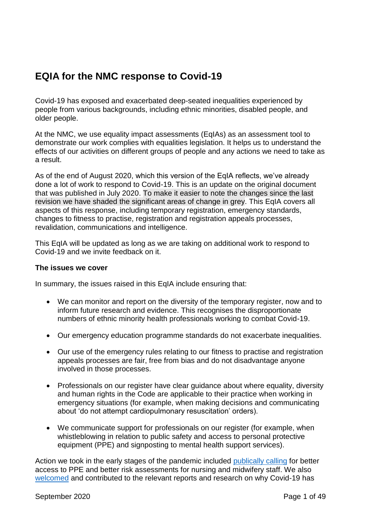# **EQIA for the NMC response to Covid-19**

Covid-19 has exposed and exacerbated deep-seated inequalities experienced by people from various backgrounds, including ethnic minorities, disabled people, and older people.

At the NMC, we use equality impact assessments (EqIAs) as an assessment tool to demonstrate our work complies with equalities legislation. It helps us to understand the effects of our activities on different groups of people and any actions we need to take as a result.

As of the end of August 2020, which this version of the EqIA reflects, we've already done a lot of work to respond to Covid-19. This is an update on the original document that was published in July 2020. To make it easier to note the changes since the last revision we have shaded the significant areas of change in grey. This EqIA covers all aspects of this response, including temporary registration, emergency standards, changes to fitness to practise, registration and registration appeals processes, revalidation, communications and intelligence.

This EqIA will be updated as long as we are taking on additional work to respond to Covid-19 and we invite feedback on it.

#### **The issues we cover**

In summary, the issues raised in this EqIA include ensuring that:

- We can monitor and report on the diversity of the temporary register, now and to inform future research and evidence. This recognises the disproportionate numbers of ethnic minority health professionals working to combat Covid-19.
- Our emergency education programme standards do not exacerbate inequalities.
- Our use of the emergency rules relating to our fitness to practise and registration appeals processes are fair, free from bias and do not disadvantage anyone involved in those processes.
- Professionals on our register have clear guidance about where equality, diversity and human rights in the Code are applicable to their practice when working in emergency situations (for example, when making decisions and communicating about 'do not attempt cardiopulmonary resuscitation' orders).
- We communicate support for professionals on our register (for example, when whistleblowing in relation to public safety and access to personal protective equipment (PPE) and signposting to mental health support services).

Action we took in the early stages of the pandemic included [publically calling](https://www.nmc.org.uk/news/coronavirus/statements/) for better access to PPE and better risk assessments for nursing and midwifery staff. We also [welcomed](https://www.nmc.org.uk/news/news-and-updates/responding-impact-covid-19-bame/) and contributed to the relevant reports and research on why Covid-19 has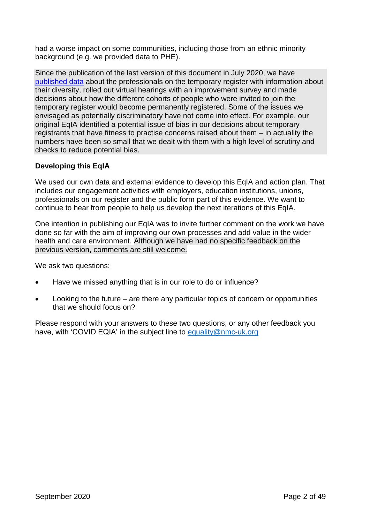had a worse impact on some communities, including those from an ethnic minority background (e.g. we provided data to PHE).

Since the publication of the last version of this document in July 2020, we have [published data](https://www.nmc.org.uk/covid19-register-analysis) about the professionals on the temporary register with information about their diversity, rolled out virtual hearings with an improvement survey and made decisions about how the different cohorts of people who were invited to join the temporary register would become permanently registered. Some of the issues we envisaged as potentially discriminatory have not come into effect. For example, our original EqIA identified a potential issue of bias in our decisions about temporary registrants that have fitness to practise concerns raised about them – in actuality the numbers have been so small that we dealt with them with a high level of scrutiny and checks to reduce potential bias.

#### **Developing this EqIA**

We used our own data and external evidence to develop this EqIA and action plan. That includes our engagement activities with employers, education institutions, unions, professionals on our register and the public form part of this evidence. We want to continue to hear from people to help us develop the next iterations of this EqIA.

One intention in publishing our EqIA was to invite further comment on the work we have done so far with the aim of improving our own processes and add value in the wider health and care environment. Although we have had no specific feedback on the previous version, comments are still welcome.

We ask two questions:

- Have we missed anything that is in our role to do or influence?
- Looking to the future are there any particular topics of concern or opportunities that we should focus on?

Please respond with your answers to these two questions, or any other feedback you have, with 'COVID EQIA' in the subject line to [equality@nmc-uk.org](mailto:equality@nmc-uk.org)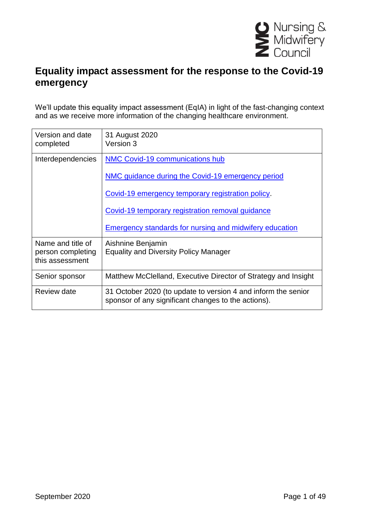

### **Equality impact assessment for the response to the Covid-19 emergency**

We'll update this equality impact assessment (EqIA) in light of the fast-changing context and as we receive more information of the changing healthcare environment.

| Version and date<br>completed        | 31 August 2020<br>Version 3                                                                                          |
|--------------------------------------|----------------------------------------------------------------------------------------------------------------------|
| Interdependencies                    | NMC Covid-19 communications hub                                                                                      |
|                                      | NMC guidance during the Covid-19 emergency period                                                                    |
|                                      | Covid-19 emergency temporary registration policy.                                                                    |
|                                      | Covid-19 temporary registration removal guidance                                                                     |
|                                      | <b>Emergency standards for nursing and midwifery education</b>                                                       |
| Name and title of                    | Aishnine Benjamin                                                                                                    |
| person completing<br>this assessment | <b>Equality and Diversity Policy Manager</b>                                                                         |
| Senior sponsor                       | Matthew McClelland, Executive Director of Strategy and Insight                                                       |
| Review date                          | 31 October 2020 (to update to version 4 and inform the senior<br>sponsor of any significant changes to the actions). |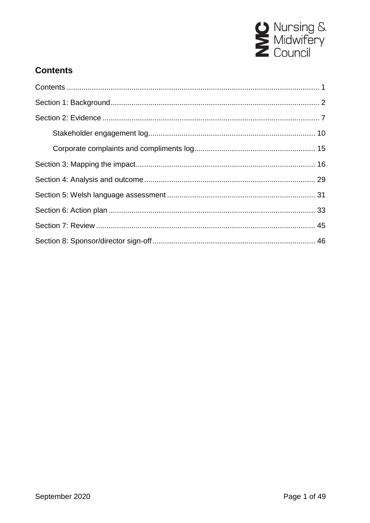

### <span id="page-3-0"></span>**Contents**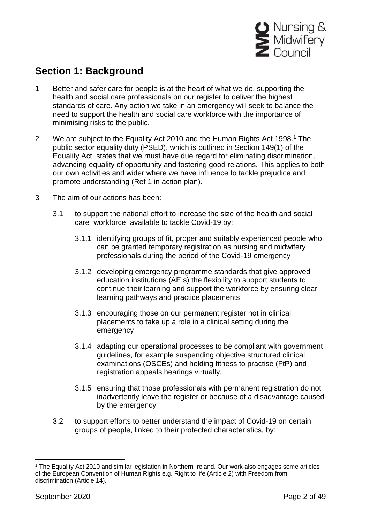

### <span id="page-4-0"></span>**Section 1: Background**

- 1 Better and safer care for people is at the heart of what we do, supporting the health and social care professionals on our register to deliver the highest standards of care. Any action we take in an emergency will seek to balance the need to support the health and social care workforce with the importance of minimising risks to the public.
- 2 We are subject to the Equality Act 2010 and the Human Rights Act 1998.<sup>1</sup> The public sector equality duty (PSED), which is outlined in Section 149(1) of the Equality Act, states that we must have due regard for eliminating discrimination, advancing equality of opportunity and fostering good relations. This applies to both our own activities and wider where we have influence to tackle prejudice and promote understanding (Ref 1 in action plan).
- 3 The aim of our actions has been:
	- 3.1 to support the national effort to increase the size of the health and social care workforce available to tackle Covid-19 by:
		- 3.1.1 identifying groups of fit, proper and suitably experienced people who can be granted temporary registration as nursing and midwifery professionals during the period of the Covid-19 emergency
		- 3.1.2 developing emergency programme standards that give approved education institutions (AEIs) the flexibility to support students to continue their learning and support the workforce by ensuring clear learning pathways and practice placements
		- 3.1.3 encouraging those on our permanent register not in clinical placements to take up a role in a clinical setting during the emergency
		- 3.1.4 adapting our operational processes to be compliant with government guidelines, for example suspending objective structured clinical examinations (OSCEs) and holding fitness to practise (FtP) and registration appeals hearings virtually.
		- 3.1.5 ensuring that those professionals with permanent registration do not inadvertently leave the register or because of a disadvantage caused by the emergency
	- 3.2 to support efforts to better understand the impact of Covid-19 on certain groups of people, linked to their protected characteristics, by:

<sup>1</sup> <sup>1</sup> The Equality Act 2010 and similar legislation in Northern Ireland. Our work also engages some articles of the European Convention of Human Rights e.g. Right to life (Article 2) with Freedom from discrimination (Article 14).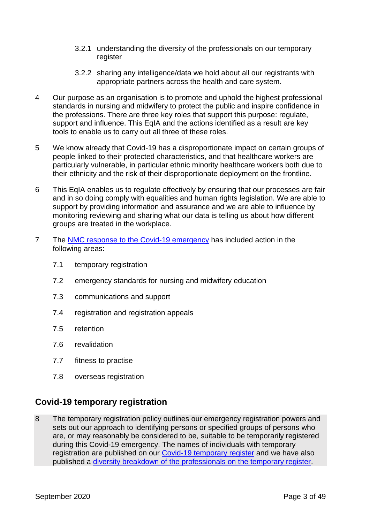- 3.2.1 understanding the diversity of the professionals on our temporary register
- 3.2.2 sharing any intelligence/data we hold about all our registrants with appropriate partners across the health and care system.
- 4 Our purpose as an organisation is to promote and uphold the highest professional standards in nursing and midwifery to protect the public and inspire confidence in the professions. There are three key roles that support this purpose: regulate, support and influence. This EqIA and the actions identified as a result are key tools to enable us to carry out all three of these roles.
- 5 We know already that Covid-19 has a disproportionate impact on certain groups of people linked to their protected characteristics, and that healthcare workers are particularly vulnerable, in particular ethnic minority healthcare workers both due to their ethnicity and the risk of their disproportionate deployment on the frontline.
- 6 This EqIA enables us to regulate effectively by ensuring that our processes are fair and in so doing comply with equalities and human rights legislation. We are able to support by providing information and assurance and we are able to influence by monitoring reviewing and sharing what our data is telling us about how different groups are treated in the workplace.
- 7 The [NMC response to the Covid-19 emergency](https://www.nmc.org.uk/news/coronavirus/) has included action in the following areas:
	- 7.1 temporary registration
	- 7.2 emergency standards for nursing and midwifery education
	- 7.3 communications and support
	- 7.4 registration and registration appeals
	- 7.5 retention
	- 7.6 revalidation
	- 7.7 fitness to practise
	- 7.8 overseas registration

### **Covid-19 temporary registration**

8 The temporary registration policy outlines our emergency registration powers and sets out our approach to identifying persons or specified groups of persons who are, or may reasonably be considered to be, suitable to be temporarily registered during this Covid-19 emergency. The names of individuals with temporary registration are published on our [Covid-19 temporary register](https://www.nmc.org.uk/news/coronavirus/temporary-registration/) and we have also published a [diversity breakdown of the professionals on the temporary register.](https://www.nmc.org.uk/covid19-register-analysis)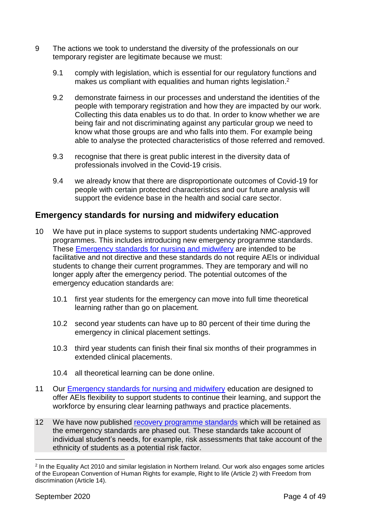- 9 The actions we took to understand the diversity of the professionals on our temporary register are legitimate because we must:
	- 9.1 comply with legislation, which is essential for our regulatory functions and makes us compliant with equalities and human rights legislation.<sup>2</sup>
	- 9.2 demonstrate fairness in our processes and understand the identities of the people with temporary registration and how they are impacted by our work. Collecting this data enables us to do that. In order to know whether we are being fair and not discriminating against any particular group we need to know what those groups are and who falls into them. For example being able to analyse the protected characteristics of those referred and removed.
	- 9.3 recognise that there is great public interest in the diversity data of professionals involved in the Covid-19 crisis.
	- 9.4 we already know that there are disproportionate outcomes of Covid-19 for people with certain protected characteristics and our future analysis will support the evidence base in the health and social care sector.

#### **Emergency standards for nursing and midwifery education**

- 10 We have put in place systems to support students undertaking NMC-approved programmes. This includes introducing new emergency programme standards. These [Emergency standards for nursing and midwifery](https://www.nmc.org.uk/globalassets/sitedocuments/education-standards/emergency-standards-for-nursing-and-midwifery-education.pdf) are intended to be facilitative and not directive and these standards do not require AEIs or individual students to change their current programmes. They are temporary and will no longer apply after the emergency period. The potential outcomes of the emergency education standards are:
	- 10.1 first year students for the emergency can move into full time theoretical learning rather than go on placement.
	- 10.2 second year students can have up to 80 percent of their time during the emergency in clinical placement settings.
	- 10.3 third year students can finish their final six months of their programmes in extended clinical placements.
	- 10.4 all theoretical learning can be done online.
- 11 Our [Emergency standards for nursing and midwifery](https://www.nmc.org.uk/globalassets/sitedocuments/education-standards/emergency-standards-for-nursing-and-midwifery-education.pdf) education are designed to offer AEIs flexibility to support students to continue their learning, and support the workforce by ensuring clear learning pathways and practice placements.
- 12 We have now published recovery [programme](https://www.nmc.org.uk/globalassets/sitedocuments/education-standards/recovery-programme-standards.pdf) standards which will be retained as the emergency standards are phased out. These standards take account of individual student's needs, for example, risk assessments that take account of the ethnicity of students as a potential risk factor.

<sup>1</sup> 2 In the Equality Act 2010 and similar legislation in Northern Ireland. Our work also engages some articles of the European Convention of Human Rights for example, Right to life (Article 2) with Freedom from discrimination (Article 14).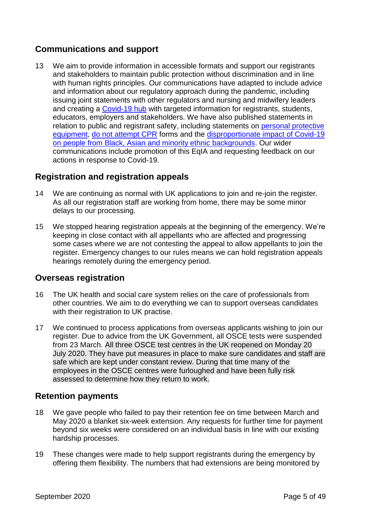### **Communications and support**

13 We aim to provide information in accessible formats and support our registrants and stakeholders to maintain public protection without discrimination and in line with human rights principles. Our communications have adapted to include advice and information about our regulatory approach during the pandemic, including issuing joint statements with other regulators and nursing and midwifery leaders and creating a [Covid-19 hub](https://www.nmc.org.uk/news/coronavirus/) with targeted information for registrants, students, educators, employers and stakeholders. We have also published statements in relation to public and registrant safety, including statements on [personal protective](https://www.nmc.org.uk/news/news-and-updates/nmc-statement-on-personal-protective-equipment-during-the-covid-19-pandemic/)  [equipment,](https://www.nmc.org.uk/news/news-and-updates/nmc-statement-on-personal-protective-equipment-during-the-covid-19-pandemic/) [do not attempt CPR](https://www.nmc.org.uk/news/news-and-updates/statement-advance-care-planning-dnacpr-gmc-nmc/) forms and the [disproportionate impact of Covid-19](https://www.nmc.org.uk/news/news-and-updates/statement-on-the-disproportionate-impact-of-covid-19-on-people-from-bame-backgrounds/)  [on people from Black, Asian and minority ethnic backgrounds.](https://www.nmc.org.uk/news/news-and-updates/statement-on-the-disproportionate-impact-of-covid-19-on-people-from-bame-backgrounds/) Our wider communications include promotion of this EqIA and requesting feedback on our actions in response to Covid-19.

#### **Registration and registration appeals**

- 14 We are continuing as normal with UK applications to join and re-join the register. As all our registration staff are working from home, there may be some minor delays to our processing.
- 15 We stopped hearing registration appeals at the beginning of the emergency. We're keeping in close contact with all appellants who are affected and progressing some cases where we are not contesting the appeal to allow appellants to join the register. Emergency changes to our rules means we can hold registration appeals hearings remotely during the emergency period.

#### **Overseas registration**

- 16 The UK health and social care system relies on the care of professionals from other countries. We aim to do everything we can to support overseas candidates with their registration to UK practise.
- 17 We continued to process applications from overseas applicants wishing to join our register. Due to advice from the UK Government, all OSCE tests were suspended from 23 March. All three OSCE test centres in the UK reopened on Monday 20 July 2020. They have put measures in place to make sure candidates and staff are safe which are kept under constant review. During that time many of the employees in the OSCE centres were furloughed and have been fully risk assessed to determine how they return to work.

#### **Retention payments**

- 18 We gave people who failed to pay their retention fee on time between March and May 2020 a blanket six-week extension. Any requests for further time for payment beyond six weeks were considered on an individual basis in line with our existing hardship processes.
- 19 These changes were made to help support registrants during the emergency by offering them flexibility. The numbers that had extensions are being monitored by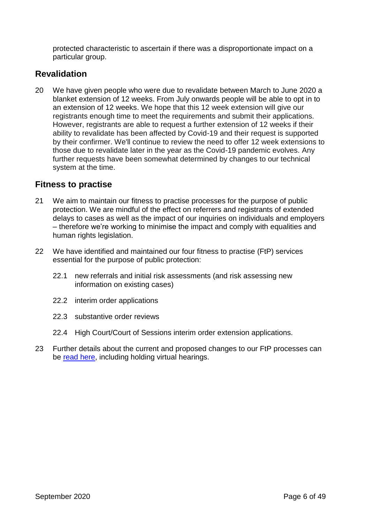protected characteristic to ascertain if there was a disproportionate impact on a particular group.

### **Revalidation**

20 We have given people who were due to revalidate between March to June 2020 a blanket extension of 12 weeks. From July onwards people will be able to opt in to an extension of 12 weeks. We hope that this 12 week extension will give our registrants enough time to meet the requirements and submit their applications. However, registrants are able to request a further extension of 12 weeks if their ability to revalidate has been affected by Covid-19 and their request is supported by their confirmer. We'll continue to review the need to offer 12 week extensions to those due to revalidate later in the year as the Covid-19 pandemic evolves. Any further requests have been somewhat determined by changes to our technical system at the time.

#### **Fitness to practise**

- 21 We aim to maintain our fitness to practise processes for the purpose of public protection. We are mindful of the effect on referrers and registrants of extended delays to cases as well as the impact of our inquiries on individuals and employers – therefore we're working to minimise the impact and comply with equalities and human rights legislation.
- 22 We have identified and maintained our four fitness to practise (FtP) services essential for the purpose of public protection:
	- 22.1 new referrals and initial risk assessments (and risk assessing new information on existing cases)
	- 22.2 interim order applications
	- 22.3 substantive order reviews
	- 22.4 High Court/Court of Sessions interim order extension applications.
- 23 Further details about the current and proposed changes to our FtP processes can be [read here,](https://www.nmc.org.uk/globalassets/sitedocuments/ftp_information/nmc-guidance-during-the-covid-19-emergency-period.pdf) including holding virtual hearings.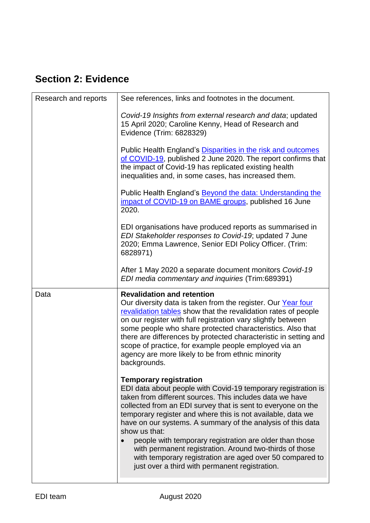# <span id="page-9-0"></span>**Section 2: Evidence**

| Research and reports | See references, links and footnotes in the document.                                                                                                                                                                                                                                                                                                                                                                                                                                                |
|----------------------|-----------------------------------------------------------------------------------------------------------------------------------------------------------------------------------------------------------------------------------------------------------------------------------------------------------------------------------------------------------------------------------------------------------------------------------------------------------------------------------------------------|
|                      | Covid-19 Insights from external research and data; updated<br>15 April 2020; Caroline Kenny, Head of Research and<br>Evidence (Trim: 6828329)                                                                                                                                                                                                                                                                                                                                                       |
|                      | Public Health England's Disparities in the risk and outcomes<br>of COVID-19, published 2 June 2020. The report confirms that<br>the impact of Covid-19 has replicated existing health<br>inequalities and, in some cases, has increased them.                                                                                                                                                                                                                                                       |
|                      | Public Health England's <b>Beyond the data: Understanding the</b><br>impact of COVID-19 on BAME groups, published 16 June<br>2020.                                                                                                                                                                                                                                                                                                                                                                  |
|                      | EDI organisations have produced reports as summarised in<br>EDI Stakeholder responses to Covid-19; updated 7 June<br>2020; Emma Lawrence, Senior EDI Policy Officer. (Trim:<br>6828971)                                                                                                                                                                                                                                                                                                             |
|                      | After 1 May 2020 a separate document monitors Covid-19<br>EDI media commentary and inquiries (Trim:689391)                                                                                                                                                                                                                                                                                                                                                                                          |
| Data                 | <b>Revalidation and retention</b><br>Our diversity data is taken from the register. Our Year four<br>revalidation tables show that the revalidation rates of people<br>on our register with full registration vary slightly between<br>some people who share protected characteristics. Also that<br>there are differences by protected characteristic in setting and<br>scope of practice, for example people employed via an<br>agency are more likely to be from ethnic minority<br>backgrounds. |
|                      | <b>Temporary registration</b><br>EDI data about people with Covid-19 temporary registration is<br>taken from different sources. This includes data we have<br>collected from an EDI survey that is sent to everyone on the<br>temporary register and where this is not available, data we<br>have on our systems. A summary of the analysis of this data<br>show us that:                                                                                                                           |
|                      | people with temporary registration are older than those<br>with permanent registration. Around two-thirds of those<br>with temporary registration are aged over 50 compared to<br>just over a third with permanent registration.                                                                                                                                                                                                                                                                    |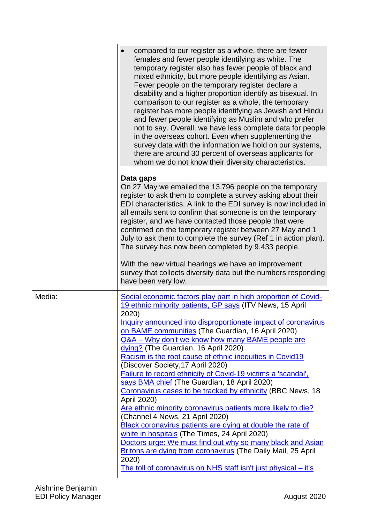|        | compared to our register as a whole, there are fewer<br>females and fewer people identifying as white. The<br>temporary register also has fewer people of black and<br>mixed ethnicity, but more people identifying as Asian.<br>Fewer people on the temporary register declare a<br>disability and a higher proportion identify as bisexual. In<br>comparison to our register as a whole, the temporary<br>register has more people identifying as Jewish and Hindu<br>and fewer people identifying as Muslim and who prefer<br>not to say. Overall, we have less complete data for people<br>in the overseas cohort. Even when supplementing the<br>survey data with the information we hold on our systems,<br>there are around 30 percent of overseas applicants for<br>whom we do not know their diversity characteristics. |
|--------|----------------------------------------------------------------------------------------------------------------------------------------------------------------------------------------------------------------------------------------------------------------------------------------------------------------------------------------------------------------------------------------------------------------------------------------------------------------------------------------------------------------------------------------------------------------------------------------------------------------------------------------------------------------------------------------------------------------------------------------------------------------------------------------------------------------------------------|
|        | Data gaps                                                                                                                                                                                                                                                                                                                                                                                                                                                                                                                                                                                                                                                                                                                                                                                                                        |
|        | On 27 May we emailed the 13,796 people on the temporary<br>register to ask them to complete a survey asking about their<br>EDI characteristics. A link to the EDI survey is now included in<br>all emails sent to confirm that someone is on the temporary<br>register, and we have contacted those people that were<br>confirmed on the temporary register between 27 May and 1<br>July to ask them to complete the survey (Ref 1 in action plan).<br>The survey has now been completed by 9,433 people.                                                                                                                                                                                                                                                                                                                        |
|        | With the new virtual hearings we have an improvement<br>survey that collects diversity data but the numbers responding<br>have been very low.                                                                                                                                                                                                                                                                                                                                                                                                                                                                                                                                                                                                                                                                                    |
| Media: | Social economic factors play part in high proportion of Covid-<br>19 ethnic minority patients, GP says (ITV News, 15 April<br>2020)<br>Inquiry announced into disproportionate impact of coronavirus<br>on BAME communities (The Guardian, 16 April 2020)<br>Q&A - Why don't we know how many BAME people are<br>dying? (The Guardian, 16 April 2020)<br>Racism is the root cause of ethnic inequities in Covid19<br>(Discover Society, 17 April 2020)<br>Failure to record ethnicity of Covid-19 victims a 'scandal',                                                                                                                                                                                                                                                                                                           |
|        | says BMA chief (The Guardian, 18 April 2020)<br>Coronavirus cases to be tracked by ethnicity (BBC News, 18<br>April 2020)<br>Are ethnic minority coronavirus patients more likely to die?<br>(Channel 4 News, 21 April 2020)<br>Black coronavirus patients are dying at double the rate of                                                                                                                                                                                                                                                                                                                                                                                                                                                                                                                                       |
|        | white in hospitals (The Times, 24 April 2020)<br>Doctors urge: We must find out why so many black and Asian<br><b>Britons are dying from coronavirus (The Daily Mail, 25 April</b><br>2020)<br>The toll of coronavirus on NHS staff isn't just physical – it's                                                                                                                                                                                                                                                                                                                                                                                                                                                                                                                                                                   |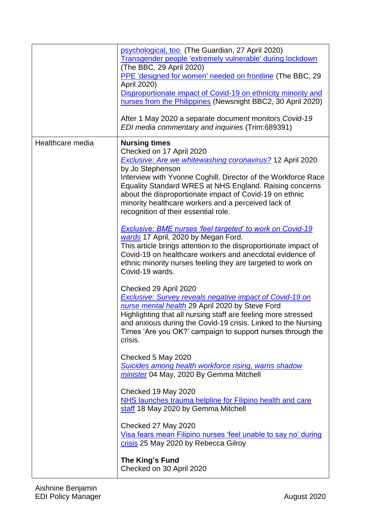|                  | psychological, too (The Guardian, 27 April 2020)<br>Transgender people 'extremely vulnerable' during lockdown<br>(The BBC, 29 April 2020)<br>PPE 'designed for women' needed on frontline (The BBC, 29<br>April 2020)<br>Disproportionate impact of Covid-19 on ethnicity minority and<br>nurses from the Philippines (Newsnight BBC2, 30 April 2020)<br>After 1 May 2020 a separate document monitors Covid-19<br>EDI media commentary and inquiries (Trim:689391)                                                                                                                                                                                                                                                                                 |
|------------------|-----------------------------------------------------------------------------------------------------------------------------------------------------------------------------------------------------------------------------------------------------------------------------------------------------------------------------------------------------------------------------------------------------------------------------------------------------------------------------------------------------------------------------------------------------------------------------------------------------------------------------------------------------------------------------------------------------------------------------------------------------|
| Healthcare media | <b>Nursing times</b><br>Checked on 17 April 2020<br><b>Exclusive: Are we whitewashing coronavirus?</b> 12 April 2020<br>by Jo Stephenson<br>Interview with Yvonne Coghill, Director of the Workforce Race<br>Equality Standard WRES at NHS England. Raising concerns<br>about the disproportionate impact of Covid-19 on ethnic<br>minority healthcare workers and a perceived lack of<br>recognition of their essential role.<br>Exclusive: BME nurses 'feel targeted' to work on Covid-19<br>wards 17 April, 2020 by Megan Ford.<br>This article brings attention to the disproportionate impact of<br>Covid-19 on healthcare workers and anecdotal evidence of<br>ethnic minority nurses feeling they are targeted to work on<br>Covid-19 wards. |
|                  | Checked 29 April 2020<br><b>Exclusive: Survey reveals negative impact of Covid-19 on</b><br>nurse mental health 29 April 2020 by Steve Ford<br>Highlighting that all nursing staff are feeling more stressed<br>and anxious during the Covid-19 crisis. Linked to the Nursing<br>Times 'Are you OK?' campaign to support nurses through the<br>crisis.<br>Checked 5 May 2020<br><b>Suicides among health workforce rising, warns shadow</b><br>minister 04 May, 2020 By Gemma Mitchell                                                                                                                                                                                                                                                              |
|                  | Checked 19 May 2020<br>NHS launches trauma helpline for Filipino health and care<br>staff 18 May 2020 by Gemma Mitchell<br>Checked 27 May 2020<br>Visa fears mean Filipino nurses 'feel unable to say no' during<br>crisis 25 May 2020 by Rebecca Gilroy<br>The King's Fund<br>Checked on 30 April 2020                                                                                                                                                                                                                                                                                                                                                                                                                                             |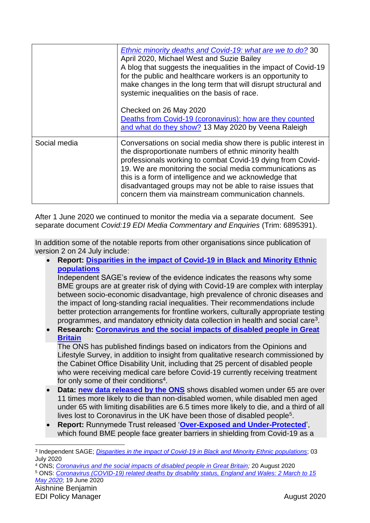|              | Ethnic minority deaths and Covid-19: what are we to do? 30<br>April 2020, Michael West and Suzie Bailey<br>A blog that suggests the inequalities in the impact of Covid-19<br>for the public and healthcare workers is an opportunity to<br>make changes in the long term that will disrupt structural and<br>systemic inequalities on the basis of race.<br>Checked on 26 May 2020                                              |  |  |  |
|--------------|----------------------------------------------------------------------------------------------------------------------------------------------------------------------------------------------------------------------------------------------------------------------------------------------------------------------------------------------------------------------------------------------------------------------------------|--|--|--|
|              | Deaths from Covid-19 (coronavirus): how are they counted                                                                                                                                                                                                                                                                                                                                                                         |  |  |  |
|              | and what do they show? 13 May 2020 by Veena Raleigh                                                                                                                                                                                                                                                                                                                                                                              |  |  |  |
| Social media | Conversations on social media show there is public interest in<br>the disproportionate numbers of ethnic minority health<br>professionals working to combat Covid-19 dying from Covid-<br>19. We are monitoring the social media communications as<br>this is a form of intelligence and we acknowledge that<br>disadvantaged groups may not be able to raise issues that<br>concern them via mainstream communication channels. |  |  |  |

<span id="page-12-0"></span>After 1 June 2020 we continued to monitor the media via a separate document. See separate document *Covid:19 EDI Media Commentary and Enquiries* (Trim: 6895391).

In addition some of the notable reports from other organisations since publication of version 2 on 24 July include:

 **Report: [Disparities in the impact of Covid-19 in Black and Minority Ethnic](https://www.independentsage.org/wp-content/uploads/2020/07/Independent-SAGE-BME-Report_02July_FINAL.pdf)  [populations](https://www.independentsage.org/wp-content/uploads/2020/07/Independent-SAGE-BME-Report_02July_FINAL.pdf)** Independent SAGE's review of the evidence indicates the reasons why some

BME groups are at greater risk of dying with Covid-19 are complex with interplay between socio-economic disadvantage, high prevalence of chronic diseases and the impact of long-standing racial inequalities. Their recommendations include better protection arrangements for frontline workers, culturally appropriate testing programmes, and mandatory ethnicity data collection in health and social care<sup>3</sup>.

 **Research: [Coronavirus and the social impacts of disabled people in Great](https://www.ons.gov.uk/peoplepopulationandcommunity/healthandsocialcare/disability/articles/coronavirusandthesocialimpactsondisabledpeopleingreatbritain/july2020)  [Britain](https://www.ons.gov.uk/peoplepopulationandcommunity/healthandsocialcare/disability/articles/coronavirusandthesocialimpactsondisabledpeopleingreatbritain/july2020)**

The ONS has published findings based on indicators from the Opinions and Lifestyle Survey, in addition to insight from qualitative research commissioned by the Cabinet Office Disability Unit, including that 25 percent of disabled people who were receiving medical care before Covid-19 currently receiving treatment for only some of their conditions<sup>4</sup>.

- **Data: [new data released by the ONS](https://www.ons.gov.uk/peoplepopulationandcommunity/birthsdeathsandmarriages/deaths/articles/coronaviruscovid19relateddeathsbydisabilitystatusenglandandwales/2marchto15may2020)** shows disabled women under 65 are over 11 times more likely to die than non-disabled women, while disabled men aged under 65 with limiting disabilities are 6.5 times more likely to die, and a third of all lives lost to Coronavirus in the UK have been those of disabled people<sup>5</sup>.
- **Report:** Runnymede Trust released '**[Over-Exposed and Under-Protected](https://www.runnymedetrust.org/uploads/Runnymede%20Covid19%20Survey%20report%20v2.pdf?utm_source=The%20King%27s%20Fund%20newsletters%20%28main%20account%29&utm_medium=email&utm_campaign=11728486_NEWSL_HMP%202020-08-07&dm_i=21A8,6ZDRA,V65RC4,S4OWK,1)**', which found BME people face greater barriers in shielding from Covid-19 as a

<sup>3</sup> Independent SAGE; *[Disparities in the impact of Covid-19 in Black and Minority Ethnic populations](https://www.independentsage.org/wp-content/uploads/2020/07/Independent-SAGE-BME-Report_02July_FINAL.pdf)*; 03 July 2020

<sup>4</sup> ONS; *[Coronavirus and the social impacts of disabled people in Great Britain;](https://www.ons.gov.uk/peoplepopulationandcommunity/healthandsocialcare/disability/articles/coronavirusandthesocialimpactsondisabledpeopleingreatbritain/july2020)* 20 August 2020

<sup>5</sup> ONS: *Coronavirus (COVID-19) related deaths by [disability status, England and Wales: 2 March to 15](https://www.ons.gov.uk/peoplepopulationandcommunity/birthsdeathsandmarriages/deaths/articles/coronaviruscovid19relateddeathsbydisabilitystatusenglandandwales/2marchto15may2020)  [May 2020](https://www.ons.gov.uk/peoplepopulationandcommunity/birthsdeathsandmarriages/deaths/articles/coronaviruscovid19relateddeathsbydisabilitystatusenglandandwales/2marchto15may2020)*; 19 June 2020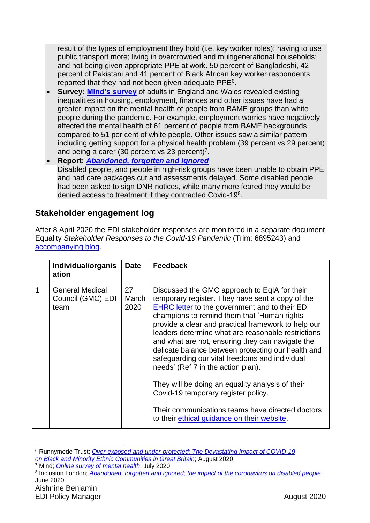result of the types of employment they hold (i.e. key worker roles); having to use public transport more; living in overcrowded and multigenerational households; and not being given appropriate PPE at work. 50 percent of Bangladeshi, 42 percent of Pakistani and 41 percent of Black African key worker respondents reported that they had not been given adequate PPE<sup>6</sup>.

- **Survey: [Mind's survey](https://www.mind.org.uk/news-campaigns/news/existing-inequalities-have-made-mental-health-of-bame-groups-worse-during-pandemic-says-mind/)** of adults in England and Wales revealed existing inequalities in housing, employment, finances and other issues have had a greater impact on the mental health of people from BAME groups than white people during the pandemic. For example, employment worries have negatively affected the mental health of 61 percent of people from BAME backgrounds, compared to 51 per cent of white people. Other issues saw a similar pattern, including getting support for a physical health problem (39 percent vs 29 percent) and being a carer (30 percent vs 23 percent)<sup>7</sup>.
- **Report:** *Abandoned, [forgotten and ignored](https://www.inclusionlondon.org.uk/wp-content/uploads/2020/06/Abandoned-Forgotten-and-Ignored-Final-1.pdf)* Disabled people, and people in high-risk groups have been unable to obtain PPE and had care packages cut and assessments delayed. Some disabled people had been asked to sign DNR notices, while many more feared they would be denied access to treatment if they contracted Covid-198.

#### **Stakeholder engagement log**

After 8 April 2020 the EDI stakeholder responses are monitored in a separate document Equality *Stakeholder Responses to the Covid-19 Pandemic* (Trim: 6895243) and [accompanying blog.](https://www.linkedin.com/pulse/considering-edi-impact-covid-19-pandemic-emma-lawrence/?trackingId=PcBkZSbxWpj7sO7nc1tWxw%3D%3D)

|   | Individual/organis<br>ation                         | <b>Date</b>         | <b>Feedback</b>                                                                                                                                                                                                                                                                                                                                                                                                                                                                                                                                                                                                                                                                                                       |
|---|-----------------------------------------------------|---------------------|-----------------------------------------------------------------------------------------------------------------------------------------------------------------------------------------------------------------------------------------------------------------------------------------------------------------------------------------------------------------------------------------------------------------------------------------------------------------------------------------------------------------------------------------------------------------------------------------------------------------------------------------------------------------------------------------------------------------------|
| 1 | <b>General Medical</b><br>Council (GMC) EDI<br>team | 27<br>March<br>2020 | Discussed the GMC approach to EqIA for their<br>temporary register. They have sent a copy of the<br><b>EHRC</b> letter to the government and to their EDI<br>champions to remind them that 'Human rights<br>provide a clear and practical framework to help our<br>leaders determine what are reasonable restrictions<br>and what are not, ensuring they can navigate the<br>delicate balance between protecting our health and<br>safeguarding our vital freedoms and individual<br>needs' (Ref 7 in the action plan).<br>They will be doing an equality analysis of their<br>Covid-19 temporary register policy.<br>Their communications teams have directed doctors<br>to their ethical guidance on their website. |

<sup>6</sup> Runnymede Trust; *[Over-exposed and under-protected: The Devastating Impact of COVID-19](https://www.runnymedetrust.org/uploads/Runnymede%20Covid19%20Survey%20report%20v2.pdf?utm_source=The%20King%27s%20Fund%20newsletters%20%28main%20account%29&utm_medium=email&utm_campaign=11728486_NEWSL_HMP%202020-08-07&dm_i=21A8,6ZDRA,V65RC4,S4OWK,1) [on Black and Minority Ethnic Communities in Great Britain](https://www.runnymedetrust.org/uploads/Runnymede%20Covid19%20Survey%20report%20v2.pdf?utm_source=The%20King%27s%20Fund%20newsletters%20%28main%20account%29&utm_medium=email&utm_campaign=11728486_NEWSL_HMP%202020-08-07&dm_i=21A8,6ZDRA,V65RC4,S4OWK,1)*; August 2020 <sup>7</sup> Mind; *[Online survey of mental health](https://www.mind.org.uk/news-campaigns/news/existing-inequalities-have-made-mental-health-of-bame-groups-worse-during-pandemic-says-mind/)*; July 2020

<sup>8</sup> Inclusion London; *[Abandoned, forgotten and ignored; the impact of the coronavirus on disabled people](https://www.inclusionlondon.org.uk/wp-content/uploads/2020/06/Abandoned-Forgotten-and-Ignored-Final-1.pdf)*; June 2020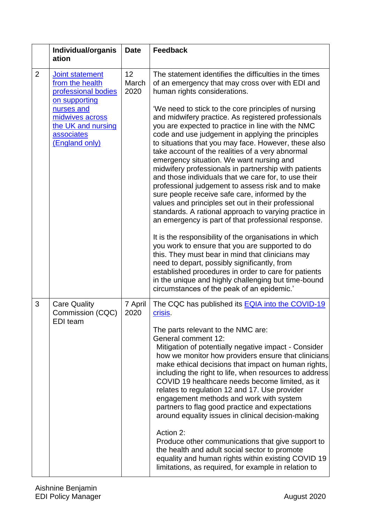|                | Individual/organis<br>ation                                                         | <b>Date</b>         | <b>Feedback</b>                                                                                                                                                                                                                                                                                                                                                                                                                                                                                                                                                                                                                                                                                                                                                                                                                                                                                                                                                                                                                                                                                                                                          |
|----------------|-------------------------------------------------------------------------------------|---------------------|----------------------------------------------------------------------------------------------------------------------------------------------------------------------------------------------------------------------------------------------------------------------------------------------------------------------------------------------------------------------------------------------------------------------------------------------------------------------------------------------------------------------------------------------------------------------------------------------------------------------------------------------------------------------------------------------------------------------------------------------------------------------------------------------------------------------------------------------------------------------------------------------------------------------------------------------------------------------------------------------------------------------------------------------------------------------------------------------------------------------------------------------------------|
| $\overline{2}$ | Joint statement<br>from the health<br>professional bodies<br>on supporting          | 12<br>March<br>2020 | The statement identifies the difficulties in the times<br>of an emergency that may cross over with EDI and<br>human rights considerations.                                                                                                                                                                                                                                                                                                                                                                                                                                                                                                                                                                                                                                                                                                                                                                                                                                                                                                                                                                                                               |
|                | nurses and<br>midwives across<br>the UK and nursing<br>associates<br>(England only) |                     | 'We need to stick to the core principles of nursing<br>and midwifery practice. As registered professionals<br>you are expected to practice in line with the NMC<br>code and use judgement in applying the principles<br>to situations that you may face. However, these also<br>take account of the realities of a very abnormal<br>emergency situation. We want nursing and<br>midwifery professionals in partnership with patients<br>and those individuals that we care for, to use their<br>professional judgement to assess risk and to make<br>sure people receive safe care, informed by the<br>values and principles set out in their professional<br>standards. A rational approach to varying practice in<br>an emergency is part of that professional response.<br>It is the responsibility of the organisations in which<br>you work to ensure that you are supported to do<br>this. They must bear in mind that clinicians may<br>need to depart, possibly significantly, from<br>established procedures in order to care for patients<br>in the unique and highly challenging but time-bound<br>circumstances of the peak of an epidemic.' |
| 3              | <b>Care Quality</b><br>Commission (CQC)<br>EDI team                                 | 7 April<br>2020     | The CQC has published its <b>EQIA</b> into the COVID-19<br>crisis                                                                                                                                                                                                                                                                                                                                                                                                                                                                                                                                                                                                                                                                                                                                                                                                                                                                                                                                                                                                                                                                                        |
|                |                                                                                     |                     | The parts relevant to the NMC are:<br><b>General comment 12:</b><br>Mitigation of potentially negative impact - Consider<br>how we monitor how providers ensure that clinicians<br>make ethical decisions that impact on human rights,<br>including the right to life, when resources to address<br>COVID 19 healthcare needs become limited, as it<br>relates to regulation 12 and 17. Use provider<br>engagement methods and work with system<br>partners to flag good practice and expectations<br>around equality issues in clinical decision-making                                                                                                                                                                                                                                                                                                                                                                                                                                                                                                                                                                                                 |
|                |                                                                                     |                     | Action 2:<br>Produce other communications that give support to<br>the health and adult social sector to promote<br>equality and human rights within existing COVID 19<br>limitations, as required, for example in relation to                                                                                                                                                                                                                                                                                                                                                                                                                                                                                                                                                                                                                                                                                                                                                                                                                                                                                                                            |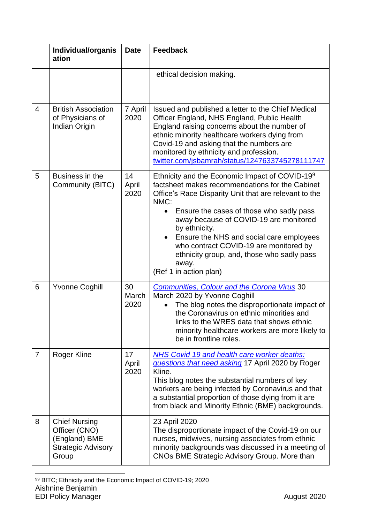|                | Individual/organis<br>ation                                                                  | <b>Date</b>         | <b>Feedback</b>                                                                                                                                                                                                                                                                                                                                                                                                                                              |  |
|----------------|----------------------------------------------------------------------------------------------|---------------------|--------------------------------------------------------------------------------------------------------------------------------------------------------------------------------------------------------------------------------------------------------------------------------------------------------------------------------------------------------------------------------------------------------------------------------------------------------------|--|
|                |                                                                                              |                     | ethical decision making.                                                                                                                                                                                                                                                                                                                                                                                                                                     |  |
| $\overline{4}$ | <b>British Association</b><br>of Physicians of<br>Indian Origin                              | 7 April<br>2020     | Issued and published a letter to the Chief Medical<br>Officer England, NHS England, Public Health<br>England raising concerns about the number of<br>ethnic minority healthcare workers dying from<br>Covid-19 and asking that the numbers are<br>monitored by ethnicity and profession.<br>twitter.com/jsbamrah/status/1247633745278111747                                                                                                                  |  |
| 5              | Business in the<br>Community (BITC)                                                          | 14<br>April<br>2020 | Ethnicity and the Economic Impact of COVID-19 <sup>9</sup><br>factsheet makes recommendations for the Cabinet<br>Office's Race Disparity Unit that are relevant to the<br>NMC:<br>Ensure the cases of those who sadly pass<br>away because of COVID-19 are monitored<br>by ethnicity.<br>Ensure the NHS and social care employees<br>who contract COVID-19 are monitored by<br>ethnicity group, and, those who sadly pass<br>away.<br>(Ref 1 in action plan) |  |
| 6              | <b>Yvonne Coghill</b>                                                                        | 30<br>March<br>2020 | <b>Communities, Colour and the Corona Virus 30</b><br>March 2020 by Yvonne Coghill<br>The blog notes the disproportionate impact of<br>the Coronavirus on ethnic minorities and<br>links to the WRES data that shows ethnic<br>minority healthcare workers are more likely to<br>be in frontline roles.                                                                                                                                                      |  |
| $\overline{7}$ | Roger Kline                                                                                  | 17<br>April<br>2020 | <b>NHS Covid 19 and health care worker deaths:</b><br>questions that need asking 17 April 2020 by Roger<br>Kline.<br>This blog notes the substantial numbers of key<br>workers are being infected by Coronavirus and that<br>a substantial proportion of those dying from it are<br>from black and Minority Ethnic (BME) backgrounds.                                                                                                                        |  |
| 8              | <b>Chief Nursing</b><br>Officer (CNO)<br>(England) BME<br><b>Strategic Advisory</b><br>Group |                     | 23 April 2020<br>The disproportionate impact of the Covid-19 on our<br>nurses, midwives, nursing associates from ethnic<br>minority backgrounds was discussed in a meeting of<br>CNOs BME Strategic Advisory Group. More than                                                                                                                                                                                                                                |  |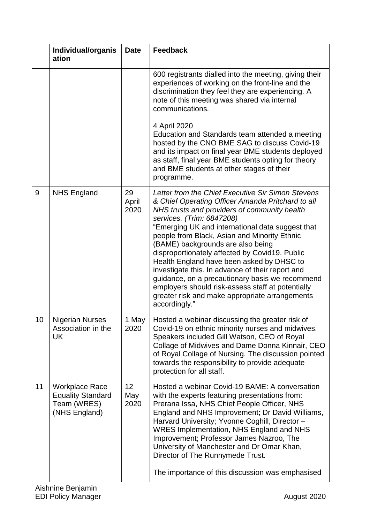|    | Individual/organis<br>ation                                                       | <b>Date</b>                    | <b>Feedback</b>                                                                                                                                                                                                                                                                                                                                                                                                                                                                                                                                                                                                                                            |  |
|----|-----------------------------------------------------------------------------------|--------------------------------|------------------------------------------------------------------------------------------------------------------------------------------------------------------------------------------------------------------------------------------------------------------------------------------------------------------------------------------------------------------------------------------------------------------------------------------------------------------------------------------------------------------------------------------------------------------------------------------------------------------------------------------------------------|--|
|    |                                                                                   |                                | 600 registrants dialled into the meeting, giving their<br>experiences of working on the front-line and the<br>discrimination they feel they are experiencing. A<br>note of this meeting was shared via internal<br>communications.                                                                                                                                                                                                                                                                                                                                                                                                                         |  |
|    |                                                                                   |                                | 4 April 2020<br>Education and Standards team attended a meeting<br>hosted by the CNO BME SAG to discuss Covid-19<br>and its impact on final year BME students deployed<br>as staff, final year BME students opting for theory<br>and BME students at other stages of their<br>programme.                                                                                                                                                                                                                                                                                                                                                                   |  |
| 9  | <b>NHS England</b>                                                                | 29<br>April<br>2020            | Letter from the Chief Executive Sir Simon Stevens<br>& Chief Operating Officer Amanda Pritchard to all<br>NHS trusts and providers of community health<br>services. (Trim: 6847208)<br>"Emerging UK and international data suggest that<br>people from Black, Asian and Minority Ethnic<br>(BAME) backgrounds are also being<br>disproportionately affected by Covid19. Public<br>Health England have been asked by DHSC to<br>investigate this. In advance of their report and<br>guidance, on a precautionary basis we recommend<br>employers should risk-assess staff at potentially<br>greater risk and make appropriate arrangements<br>accordingly." |  |
| 10 | <b>Nigerian Nurses</b><br>Association in the<br><b>UK</b>                         | May<br>2020                    | Hosted a webinar discussing the greater risk of<br>Covid-19 on ethnic minority nurses and midwives.<br>Speakers included Gill Watson, CEO of Royal<br>Collage of Midwives and Dame Donna Kinnair, CEO<br>of Royal Collage of Nursing. The discussion pointed<br>towards the responsibility to provide adequate<br>protection for all staff.                                                                                                                                                                                                                                                                                                                |  |
| 11 | <b>Workplace Race</b><br><b>Equality Standard</b><br>Team (WRES)<br>(NHS England) | 12 <sup>2</sup><br>May<br>2020 | Hosted a webinar Covid-19 BAME: A conversation<br>with the experts featuring presentations from:<br>Prerana Issa, NHS Chief People Officer, NHS<br>England and NHS Improvement; Dr David Williams,<br>Harvard University; Yvonne Coghill, Director -<br><b>WRES Implementation, NHS England and NHS</b><br>Improvement; Professor James Nazroo, The<br>University of Manchester and Dr Omar Khan,<br>Director of The Runnymede Trust.<br>The importance of this discussion was emphasised                                                                                                                                                                  |  |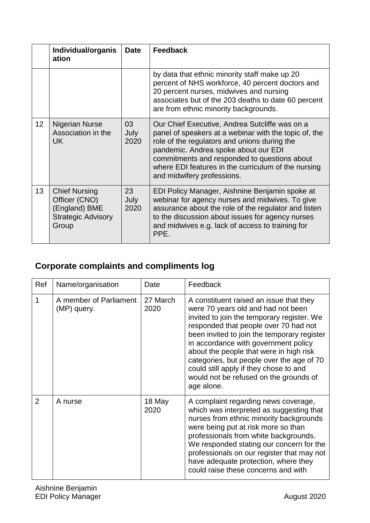|                 | Individual/organis<br>ation                                                                  | <b>Date</b>        | <b>Feedback</b>                                                                                                                                                                                                                                                                                                                      |  |
|-----------------|----------------------------------------------------------------------------------------------|--------------------|--------------------------------------------------------------------------------------------------------------------------------------------------------------------------------------------------------------------------------------------------------------------------------------------------------------------------------------|--|
|                 |                                                                                              |                    | by data that ethnic minority staff make up 20<br>percent of NHS workforce, 40 percent doctors and<br>20 percent nurses, midwives and nursing<br>associates but of the 203 deaths to date 60 percent<br>are from ethnic minority backgrounds.                                                                                         |  |
| 12 <sub>2</sub> | <b>Nigerian Nurse</b><br>Association in the<br><b>UK</b>                                     | 03<br>July<br>2020 | Our Chief Executive, Andrea Sutcliffe was on a<br>panel of speakers at a webinar with the topic of, the<br>role of the regulators and unions during the<br>pandemic. Andrea spoke about our EDI<br>commitments and responded to questions about<br>where EDI features in the curriculum of the nursing<br>and midwifery professions. |  |
| 13              | <b>Chief Nursing</b><br>Officer (CNO)<br>(England) BME<br><b>Strategic Advisory</b><br>Group | 23<br>July<br>2020 | EDI Policy Manager, Aishnine Benjamin spoke at<br>webinar for agency nurses and midwives. To give<br>assurance about the role of the regulator and listen<br>to the discussion about issues for agency nurses<br>and midwives e.g. lack of access to training for<br>PPE.                                                            |  |

# <span id="page-17-0"></span>**Corporate complaints and compliments log**

| Ref | Name/organisation                     | Date             | Feedback                                                                                                                                                                                                                                                                                                                                                                                                                                              |
|-----|---------------------------------------|------------------|-------------------------------------------------------------------------------------------------------------------------------------------------------------------------------------------------------------------------------------------------------------------------------------------------------------------------------------------------------------------------------------------------------------------------------------------------------|
| 1   | A member of Parliament<br>(MP) query. | 27 March<br>2020 | A constituent raised an issue that they<br>were 70 years old and had not been<br>invited to join the temporary register. We<br>responded that people over 70 had not<br>been invited to join the temporary register<br>in accordance with government policy<br>about the people that were in high risk<br>categories, but people over the age of 70<br>could still apply if they chose to and<br>would not be refused on the grounds of<br>age alone. |
| 2   | A nurse                               | 18 May<br>2020   | A complaint regarding news coverage,<br>which was interpreted as suggesting that<br>nurses from ethnic minority backgrounds<br>were being put at risk more so than<br>professionals from white backgrounds.<br>We responded stating our concern for the<br>professionals on our register that may not<br>have adequate protection, where they<br>could raise these concerns and with                                                                  |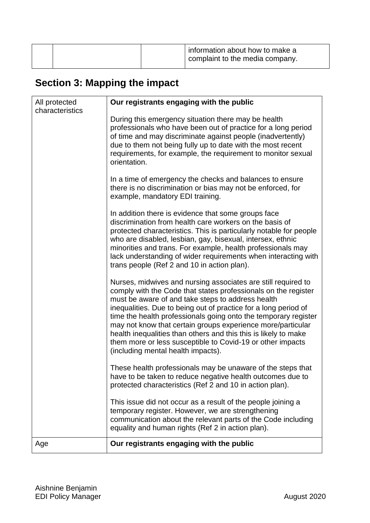|  | information about how to make a<br>complaint to the media company. |
|--|--------------------------------------------------------------------|
|  |                                                                    |

# <span id="page-18-0"></span>**Section 3: Mapping the impact**

| All protected<br>characteristics | Our registrants engaging with the public                                                                                                                                                                                                                                                                                                                                                                                                                                                                                                                         |
|----------------------------------|------------------------------------------------------------------------------------------------------------------------------------------------------------------------------------------------------------------------------------------------------------------------------------------------------------------------------------------------------------------------------------------------------------------------------------------------------------------------------------------------------------------------------------------------------------------|
|                                  | During this emergency situation there may be health<br>professionals who have been out of practice for a long period<br>of time and may discriminate against people (inadvertently)<br>due to them not being fully up to date with the most recent<br>requirements, for example, the requirement to monitor sexual<br>orientation.                                                                                                                                                                                                                               |
|                                  | In a time of emergency the checks and balances to ensure<br>there is no discrimination or bias may not be enforced, for<br>example, mandatory EDI training.                                                                                                                                                                                                                                                                                                                                                                                                      |
|                                  | In addition there is evidence that some groups face<br>discrimination from health care workers on the basis of<br>protected characteristics. This is particularly notable for people<br>who are disabled, lesbian, gay, bisexual, intersex, ethnic<br>minorities and trans. For example, health professionals may<br>lack understanding of wider requirements when interacting with<br>trans people (Ref 2 and 10 in action plan).                                                                                                                               |
|                                  | Nurses, midwives and nursing associates are still required to<br>comply with the Code that states professionals on the register<br>must be aware of and take steps to address health<br>inequalities. Due to being out of practice for a long period of<br>time the health professionals going onto the temporary register<br>may not know that certain groups experience more/particular<br>health inequalities than others and this this is likely to make<br>them more or less susceptible to Covid-19 or other impacts<br>(including mental health impacts). |
|                                  | These health professionals may be unaware of the steps that<br>have to be taken to reduce negative health outcomes due to<br>protected characteristics (Ref 2 and 10 in action plan).                                                                                                                                                                                                                                                                                                                                                                            |
|                                  | This issue did not occur as a result of the people joining a<br>temporary register. However, we are strengthening<br>communication about the relevant parts of the Code including<br>equality and human rights (Ref 2 in action plan).                                                                                                                                                                                                                                                                                                                           |
| Age                              | Our registrants engaging with the public                                                                                                                                                                                                                                                                                                                                                                                                                                                                                                                         |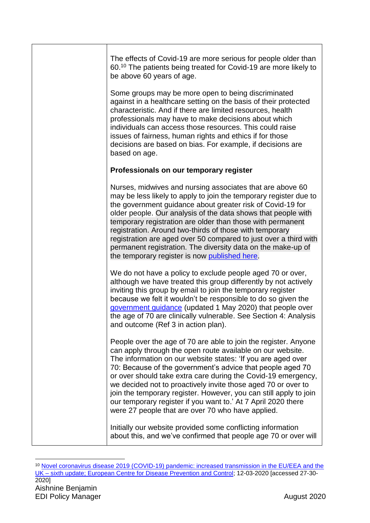| The effects of Covid-19 are more serious for people older than<br>60. <sup>10</sup> The patients being treated for Covid-19 are more likely to<br>be above 60 years of age.                                                                                                                                                                                                                                                                                                                                                                                                              |
|------------------------------------------------------------------------------------------------------------------------------------------------------------------------------------------------------------------------------------------------------------------------------------------------------------------------------------------------------------------------------------------------------------------------------------------------------------------------------------------------------------------------------------------------------------------------------------------|
| Some groups may be more open to being discriminated<br>against in a healthcare setting on the basis of their protected<br>characteristic. And if there are limited resources, health<br>professionals may have to make decisions about which<br>individuals can access those resources. This could raise<br>issues of fairness, human rights and ethics if for those<br>decisions are based on bias. For example, if decisions are<br>based on age.                                                                                                                                      |
| Professionals on our temporary register                                                                                                                                                                                                                                                                                                                                                                                                                                                                                                                                                  |
| Nurses, midwives and nursing associates that are above 60<br>may be less likely to apply to join the temporary register due to<br>the government guidance about greater risk of Covid-19 for<br>older people. Our analysis of the data shows that people with<br>temporary registration are older than those with permanent<br>registration. Around two-thirds of those with temporary<br>registration are aged over 50 compared to just over a third with<br>permanent registration. The diversity data on the make-up of<br>the temporary register is now published here.              |
| We do not have a policy to exclude people aged 70 or over,<br>although we have treated this group differently by not actively<br>inviting this group by email to join the temporary register<br>because we felt it wouldn't be responsible to do so given the<br>government guidance (updated 1 May 2020) that people over<br>the age of 70 are clinically vulnerable. See Section 4: Analysis<br>and outcome (Ref 3 in action plan).                                                                                                                                                    |
| People over the age of 70 are able to join the register. Anyone<br>can apply through the open route available on our website.<br>The information on our website states: 'If you are aged over<br>70: Because of the government's advice that people aged 70<br>or over should take extra care during the Covid-19 emergency,<br>we decided not to proactively invite those aged 70 or over to<br>join the temporary register. However, you can still apply to join<br>our temporary register if you want to.' At 7 April 2020 there<br>were 27 people that are over 70 who have applied. |
| Initially our website provided some conflicting information<br>about this, and we've confirmed that people age 70 or over will                                                                                                                                                                                                                                                                                                                                                                                                                                                           |

Aishnine Benjamin EDI Policy Manager August 2020 1 <sup>10</sup> [Novel coronavirus disease 2019 \(COVID-19\) pandemic: increased transmission in the EU/EEA and the](https://www.ecdc.europa.eu/sites/default/files/documents/RRA-sixth-update-Outbreak-of-novel-coronavirus-disease-2019-COVID-19.pdf)  UK – [sixth update; European Centre for Disease Prevention and Control;](https://www.ecdc.europa.eu/sites/default/files/documents/RRA-sixth-update-Outbreak-of-novel-coronavirus-disease-2019-COVID-19.pdf) 12-03-2020 [accessed 27-30- 2020]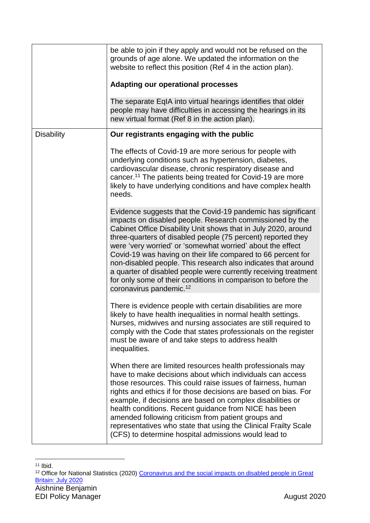|                   | be able to join if they apply and would not be refused on the<br>grounds of age alone. We updated the information on the<br>website to reflect this position (Ref 4 in the action plan).                                                                                                                                                                                                                                                                                                                                                                                                                                             |
|-------------------|--------------------------------------------------------------------------------------------------------------------------------------------------------------------------------------------------------------------------------------------------------------------------------------------------------------------------------------------------------------------------------------------------------------------------------------------------------------------------------------------------------------------------------------------------------------------------------------------------------------------------------------|
|                   | <b>Adapting our operational processes</b>                                                                                                                                                                                                                                                                                                                                                                                                                                                                                                                                                                                            |
|                   | The separate EqIA into virtual hearings identifies that older<br>people may have difficulties in accessing the hearings in its<br>new virtual format (Ref 8 in the action plan).                                                                                                                                                                                                                                                                                                                                                                                                                                                     |
| <b>Disability</b> | Our registrants engaging with the public                                                                                                                                                                                                                                                                                                                                                                                                                                                                                                                                                                                             |
|                   | The effects of Covid-19 are more serious for people with<br>underlying conditions such as hypertension, diabetes,<br>cardiovascular disease, chronic respiratory disease and<br>cancer. <sup>11</sup> The patients being treated for Covid-19 are more<br>likely to have underlying conditions and have complex health<br>needs.                                                                                                                                                                                                                                                                                                     |
|                   | Evidence suggests that the Covid-19 pandemic has significant<br>impacts on disabled people. Research commissioned by the<br>Cabinet Office Disability Unit shows that in July 2020, around<br>three-quarters of disabled people (75 percent) reported they<br>were 'very worried' or 'somewhat worried' about the effect<br>Covid-19 was having on their life compared to 66 percent for<br>non-disabled people. This research also indicates that around<br>a quarter of disabled people were currently receiving treatment<br>for only some of their conditions in comparison to before the<br>coronavirus pandemic. <sup>12</sup> |
|                   | There is evidence people with certain disabilities are more<br>likely to have health inequalities in normal health settings.<br>Nurses, midwives and nursing associates are still required to<br>comply with the Code that states professionals on the register<br>must be aware of and take steps to address health<br>inequalities.                                                                                                                                                                                                                                                                                                |
|                   | When there are limited resources health professionals may<br>have to make decisions about which individuals can access<br>those resources. This could raise issues of fairness, human<br>rights and ethics if for those decisions are based on bias. For<br>example, if decisions are based on complex disabilities or<br>health conditions. Recent guidance from NICE has been<br>amended following criticism from patient groups and<br>representatives who state that using the Clinical Frailty Scale<br>(CFS) to determine hospital admissions would lead to                                                                    |

<sup>1</sup>  $11$  Ibid.

<sup>12</sup> Office for National Statistics (2020) Coronavirus and the social impacts on disabled people in Great [Britain: July 2020](https://www.ons.gov.uk/peoplepopulationandcommunity/healthandsocialcare/disability/articles/coronavirusandthesocialimpactsondisabledpeopleingreatbritain/july2020)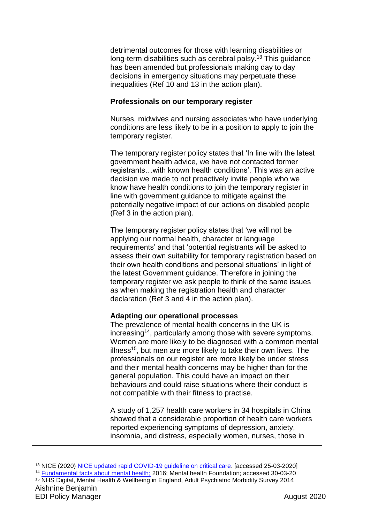| detrimental outcomes for those with learning disabilities or<br>long-term disabilities such as cerebral palsy. <sup>13</sup> This guidance<br>has been amended but professionals making day to day<br>decisions in emergency situations may perpetuate these<br>inequalities (Ref 10 and 13 in the action plan).                                                                                                                                                                                                                                                                                                                          |
|-------------------------------------------------------------------------------------------------------------------------------------------------------------------------------------------------------------------------------------------------------------------------------------------------------------------------------------------------------------------------------------------------------------------------------------------------------------------------------------------------------------------------------------------------------------------------------------------------------------------------------------------|
| Professionals on our temporary register                                                                                                                                                                                                                                                                                                                                                                                                                                                                                                                                                                                                   |
| Nurses, midwives and nursing associates who have underlying<br>conditions are less likely to be in a position to apply to join the<br>temporary register.                                                                                                                                                                                                                                                                                                                                                                                                                                                                                 |
| The temporary register policy states that 'In line with the latest<br>government health advice, we have not contacted former<br>registrants with known health conditions'. This was an active<br>decision we made to not proactively invite people who we<br>know have health conditions to join the temporary register in<br>line with government guidance to mitigate against the<br>potentially negative impact of our actions on disabled people<br>(Ref 3 in the action plan).                                                                                                                                                       |
| The temporary register policy states that 'we will not be<br>applying our normal health, character or language<br>requirements' and that 'potential registrants will be asked to<br>assess their own suitability for temporary registration based on<br>their own health conditions and personal situations' in light of<br>the latest Government guidance. Therefore in joining the<br>temporary register we ask people to think of the same issues<br>as when making the registration health and character<br>declaration (Ref 3 and 4 in the action plan).                                                                             |
| <b>Adapting our operational processes</b><br>The prevalence of mental health concerns in the UK is<br>increasing <sup>14</sup> , particularly among those with severe symptoms.<br>Women are more likely to be diagnosed with a common mental<br>illness <sup>15</sup> , but men are more likely to take their own lives. The<br>professionals on our register are more likely be under stress<br>and their mental health concerns may be higher than for the<br>general population. This could have an impact on their<br>behaviours and could raise situations where their conduct is<br>not compatible with their fitness to practise. |
| A study of 1,257 health care workers in 34 hospitals in China<br>showed that a considerable proportion of health care workers<br>reported experiencing symptoms of depression, anxiety,<br>insomnia, and distress, especially women, nurses, those in                                                                                                                                                                                                                                                                                                                                                                                     |

Aishnine Benjamin EDI Policy Manager August 2020 1 <sup>13</sup> NICE (2020) [NICE updated rapid COVID-19](https://www.nice.org.uk/news/article/nice-updates-rapid-covid-19-guideline-on-critical-care) quideline on critical care. [accessed 25-03-2020] <sup>14</sup> [Fundamental facts about mental health;](https://www.mentalhealth.org.uk/publications/fundamental-facts-about-mental-health-2016) 2016; Mental health Foundation; accessed 30-03-20 <sup>15</sup> NHS Digital, Mental Health & Wellbeing in England, Adult Psychiatric Morbidity Survey 2014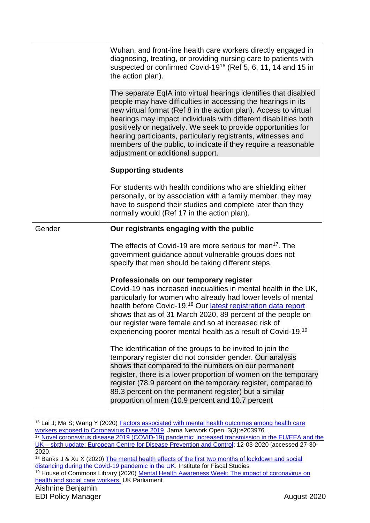|        | Wuhan, and front-line health care workers directly engaged in<br>diagnosing, treating, or providing nursing care to patients with<br>suspected or confirmed Covid-19 <sup>16</sup> (Ref 5, 6, 11, 14 and 15 in<br>the action plan).                                                                                                                                                                                                                                                                                  |
|--------|----------------------------------------------------------------------------------------------------------------------------------------------------------------------------------------------------------------------------------------------------------------------------------------------------------------------------------------------------------------------------------------------------------------------------------------------------------------------------------------------------------------------|
|        | The separate EqIA into virtual hearings identifies that disabled<br>people may have difficulties in accessing the hearings in its<br>new virtual format (Ref 8 in the action plan). Access to virtual<br>hearings may impact individuals with different disabilities both<br>positively or negatively. We seek to provide opportunities for<br>hearing participants, particularly registrants, witnesses and<br>members of the public, to indicate if they require a reasonable<br>adjustment or additional support. |
|        | <b>Supporting students</b>                                                                                                                                                                                                                                                                                                                                                                                                                                                                                           |
|        | For students with health conditions who are shielding either<br>personally, or by association with a family member, they may<br>have to suspend their studies and complete later than they<br>normally would (Ref 17 in the action plan).                                                                                                                                                                                                                                                                            |
| Gender | Our registrants engaging with the public                                                                                                                                                                                                                                                                                                                                                                                                                                                                             |
|        | The effects of Covid-19 are more serious for men <sup>17</sup> . The<br>government guidance about vulnerable groups does not<br>specify that men should be taking different steps.                                                                                                                                                                                                                                                                                                                                   |
|        | Professionals on our temporary register<br>Covid-19 has increased inequalities in mental health in the UK,<br>particularly for women who already had lower levels of mental<br>health before Covid-19. <sup>18</sup> Our latest registration data report<br>shows that as of 31 March 2020, 89 percent of the people on<br>our register were female and so at increased risk of<br>experiencing poorer mental health as a result of Covid-19. <sup>19</sup>                                                          |
|        | The identification of the groups to be invited to join the<br>temporary register did not consider gender. Our analysis<br>shows that compared to the numbers on our permanent                                                                                                                                                                                                                                                                                                                                        |
|        | register, there is a lower proportion of women on the temporary<br>register (78.9 percent on the temporary register, compared to<br>89.3 percent on the permanent register) but a similar<br>proportion of men (10.9 percent and 10.7 percent                                                                                                                                                                                                                                                                        |
|        |                                                                                                                                                                                                                                                                                                                                                                                                                                                                                                                      |

<sup>16</sup> Lai J; Ma S; Wang Y (2020) [Factors associated with mental health outcomes among health care](https://jamanetwork.com/journals/jamanetworkopen/fullarticle/2763229)  [workers exposed to Coronavirus Disease 2019.](https://jamanetwork.com/journals/jamanetworkopen/fullarticle/2763229) Jama Network Open. 3(3):e203976. <sup>17</sup> [Novel coronavirus disease 2019 \(COVID-19\) pandemic: increased transmission in the EU/EEA and the](https://www.ecdc.europa.eu/sites/default/files/documents/RRA-sixth-update-Outbreak-of-novel-coronavirus-disease-2019-COVID-19.pdf)  UK – [sixth update; European Centre for Disease Prevention and Control;](https://www.ecdc.europa.eu/sites/default/files/documents/RRA-sixth-update-Outbreak-of-novel-coronavirus-disease-2019-COVID-19.pdf) 12-03-2020 [accessed 27-30-

<sup>2020.</sup>

<sup>18</sup> Banks J & Xu X (2020) [The mental health effects of the first two months of lockdown and social](https://www.ifs.org.uk/uploads/WP202016-Covid-and-mental-health.pdf)  [distancing during the Covid-19 pandemic in the UK.](https://www.ifs.org.uk/uploads/WP202016-Covid-and-mental-health.pdf) Institute for Fiscal Studies

<sup>&</sup>lt;sup>19</sup> House of Commons Library (2020) Mental Health Awareness Week: The impact of coronavirus on [health and social care workers.](https://commonslibrary.parliament.uk/insights/mental-health-awareness-week-the-impact-of-coronavirus-on-health-and-social-care-workers/) UK Parliament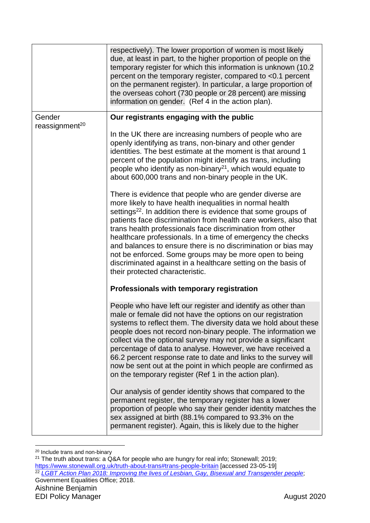|                            | respectively). The lower proportion of women is most likely<br>due, at least in part, to the higher proportion of people on the<br>temporary register for which this information is unknown (10.2)<br>percent on the temporary register, compared to <0.1 percent<br>on the permanent register). In particular, a large proportion of<br>the overseas cohort (730 people or 28 percent) are missing<br>information on gender. (Ref 4 in the action plan).                                                                                                                                                                         |
|----------------------------|-----------------------------------------------------------------------------------------------------------------------------------------------------------------------------------------------------------------------------------------------------------------------------------------------------------------------------------------------------------------------------------------------------------------------------------------------------------------------------------------------------------------------------------------------------------------------------------------------------------------------------------|
| Gender                     | Our registrants engaging with the public                                                                                                                                                                                                                                                                                                                                                                                                                                                                                                                                                                                          |
| reassignment <sup>20</sup> | In the UK there are increasing numbers of people who are<br>openly identifying as trans, non-binary and other gender<br>identities. The best estimate at the moment is that around 1<br>percent of the population might identify as trans, including<br>people who identify as non-binary $21$ , which would equate to<br>about 600,000 trans and non-binary people in the UK.                                                                                                                                                                                                                                                    |
|                            | There is evidence that people who are gender diverse are<br>more likely to have health inequalities in normal health<br>settings <sup>22</sup> . In addition there is evidence that some groups of<br>patients face discrimination from health care workers, also that<br>trans health professionals face discrimination from other<br>healthcare professionals. In a time of emergency the checks<br>and balances to ensure there is no discrimination or bias may<br>not be enforced. Some groups may be more open to being<br>discriminated against in a healthcare setting on the basis of<br>their protected characteristic. |
|                            | Professionals with temporary registration                                                                                                                                                                                                                                                                                                                                                                                                                                                                                                                                                                                         |
|                            | People who have left our register and identify as other than<br>male or female did not have the options on our registration<br>systems to reflect them. The diversity data we hold about these<br>people does not record non-binary people. The information we<br>collect via the optional survey may not provide a significant<br>percentage of data to analyse. However, we have received a<br>66.2 percent response rate to date and links to the survey will<br>now be sent out at the point in which people are confirmed as<br>on the temporary register (Ref 1 in the action plan).                                        |
|                            | Our analysis of gender identity shows that compared to the<br>permanent register, the temporary register has a lower<br>proportion of people who say their gender identity matches the<br>sex assigned at birth (88.1% compared to 93.3% on the<br>permanent register). Again, this is likely due to the higher                                                                                                                                                                                                                                                                                                                   |

<sup>1</sup> <sup>20</sup> Include trans and non-binary

Aishnine Benjamin EDI Policy Manager August 2020 <sup>21</sup> The truth about trans: a Q&A for people who are hungry for real info; Stonewall; 2019; <https://www.stonewall.org.uk/truth-about-trans#trans-people-britain> [accessed 23-05-19] <sup>22</sup> *[LGBT Action Plan 2018: Improving the lives of Lesbian, Gay, Bisexual and Transgender people](https://www.gov.uk/government/publications/lgbt-action-plan-2018-improving-the-lives-of-lesbian-gay-bisexual-and-transgender-people)*; Government Equalities Office; 2018.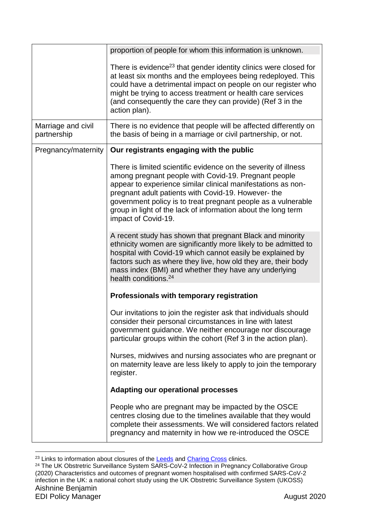|                                   | proportion of people for whom this information is unknown.                                                                                                                                                                                                                                                                                                                                              |
|-----------------------------------|---------------------------------------------------------------------------------------------------------------------------------------------------------------------------------------------------------------------------------------------------------------------------------------------------------------------------------------------------------------------------------------------------------|
|                                   | There is evidence <sup>23</sup> that gender identity clinics were closed for<br>at least six months and the employees being redeployed. This<br>could have a detrimental impact on people on our register who<br>might be trying to access treatment or health care services<br>(and consequently the care they can provide) (Ref 3 in the<br>action plan).                                             |
| Marriage and civil<br>partnership | There is no evidence that people will be affected differently on<br>the basis of being in a marriage or civil partnership, or not.                                                                                                                                                                                                                                                                      |
| Pregnancy/maternity               | Our registrants engaging with the public                                                                                                                                                                                                                                                                                                                                                                |
|                                   | There is limited scientific evidence on the severity of illness<br>among pregnant people with Covid-19. Pregnant people<br>appear to experience similar clinical manifestations as non-<br>pregnant adult patients with Covid-19. However- the<br>government policy is to treat pregnant people as a vulnerable<br>group in light of the lack of information about the long term<br>impact of Covid-19. |
|                                   | A recent study has shown that pregnant Black and minority<br>ethnicity women are significantly more likely to be admitted to<br>hospital with Covid-19 which cannot easily be explained by<br>factors such as where they live, how old they are, their body<br>mass index (BMI) and whether they have any underlying<br>health conditions. <sup>24</sup>                                                |
|                                   | Professionals with temporary registration                                                                                                                                                                                                                                                                                                                                                               |
|                                   | Our invitations to join the register ask that individuals should<br>consider their personal circumstances in line with latest<br>government guidance. We neither encourage nor discourage<br>particular groups within the cohort (Ref 3 in the action plan).                                                                                                                                            |
|                                   | Nurses, midwives and nursing associates who are pregnant or<br>on maternity leave are less likely to apply to join the temporary<br>register.                                                                                                                                                                                                                                                           |
|                                   | <b>Adapting our operational processes</b>                                                                                                                                                                                                                                                                                                                                                               |
|                                   | People who are pregnant may be impacted by the OSCE<br>centres closing due to the timelines available that they would<br>complete their assessments. We will considered factors related<br>pregnancy and maternity in how we re-introduced the OSCE                                                                                                                                                     |

<sup>1</sup> <sup>23</sup> Links to information about closures of the **Leeds** and **Charing Cross clinics**.

Aishnine Benjamin EDI Policy Manager August 2020 <sup>24</sup> The UK Obstretric Surveillance System SARS-CoV-2 Infection in Pregnancy Collaborative Group (2020) Characteristics and outcomes of pregnant women hospitalised with confirmed SARS-CoV-2 infection in the UK: a national cohort study using the UK Obstretric Surveillance System (UKOSS)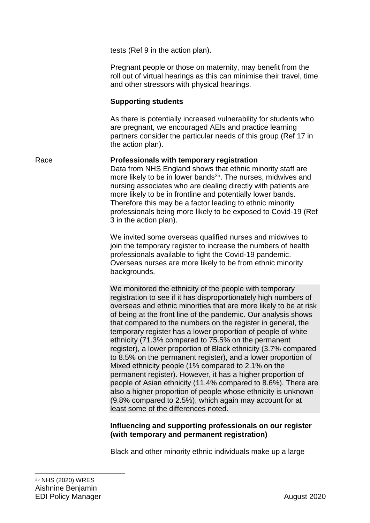|      | tests (Ref 9 in the action plan).                                                                                                                                                                                                                                                                                                                                                                                                                                                                                                                                                                                                                                                                                                                                                                                                                                                                                                                       |
|------|---------------------------------------------------------------------------------------------------------------------------------------------------------------------------------------------------------------------------------------------------------------------------------------------------------------------------------------------------------------------------------------------------------------------------------------------------------------------------------------------------------------------------------------------------------------------------------------------------------------------------------------------------------------------------------------------------------------------------------------------------------------------------------------------------------------------------------------------------------------------------------------------------------------------------------------------------------|
|      | Pregnant people or those on maternity, may benefit from the<br>roll out of virtual hearings as this can minimise their travel, time<br>and other stressors with physical hearings.                                                                                                                                                                                                                                                                                                                                                                                                                                                                                                                                                                                                                                                                                                                                                                      |
|      | <b>Supporting students</b>                                                                                                                                                                                                                                                                                                                                                                                                                                                                                                                                                                                                                                                                                                                                                                                                                                                                                                                              |
|      | As there is potentially increased vulnerability for students who<br>are pregnant, we encouraged AEIs and practice learning<br>partners consider the particular needs of this group (Ref 17 in<br>the action plan).                                                                                                                                                                                                                                                                                                                                                                                                                                                                                                                                                                                                                                                                                                                                      |
| Race | Professionals with temporary registration<br>Data from NHS England shows that ethnic minority staff are<br>more likely to be in lower bands <sup>25</sup> . The nurses, midwives and<br>nursing associates who are dealing directly with patients are<br>more likely to be in frontline and potentially lower bands.<br>Therefore this may be a factor leading to ethnic minority<br>professionals being more likely to be exposed to Covid-19 (Ref<br>3 in the action plan).<br>We invited some overseas qualified nurses and midwives to<br>join the temporary register to increase the numbers of health<br>professionals available to fight the Covid-19 pandemic.<br>Overseas nurses are more likely to be from ethnic minority<br>backgrounds.                                                                                                                                                                                                    |
|      | We monitored the ethnicity of the people with temporary<br>registration to see if it has disproportionately high numbers of<br>overseas and ethnic minorities that are more likely to be at risk<br>of being at the front line of the pandemic. Our analysis shows<br>that compared to the numbers on the register in general, the<br>temporary register has a lower proportion of people of white<br>ethnicity (71.3% compared to 75.5% on the permanent<br>register), a lower proportion of Black ethnicity (3.7% compared<br>to 8.5% on the permanent register), and a lower proportion of<br>Mixed ethnicity people (1% compared to 2.1% on the<br>permanent register). However, it has a higher proportion of<br>people of Asian ethnicity (11.4% compared to 8.6%). There are<br>also a higher proportion of people whose ethnicity is unknown<br>(9.8% compared to 2.5%), which again may account for at<br>least some of the differences noted. |
|      | Influencing and supporting professionals on our register<br>(with temporary and permanent registration)                                                                                                                                                                                                                                                                                                                                                                                                                                                                                                                                                                                                                                                                                                                                                                                                                                                 |
|      | Black and other minority ethnic individuals make up a large                                                                                                                                                                                                                                                                                                                                                                                                                                                                                                                                                                                                                                                                                                                                                                                                                                                                                             |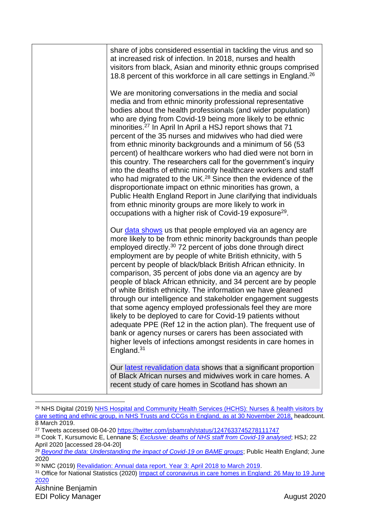| share of jobs considered essential in tackling the virus and so<br>at increased risk of infection. In 2018, nurses and health<br>visitors from black, Asian and minority ethnic groups comprised<br>18.8 percent of this workforce in all care settings in England. <sup>26</sup>                                                                                                                                                                                                                                                                                                                                                                                                                                                                                                                                                                                                                                                                                                                        |
|----------------------------------------------------------------------------------------------------------------------------------------------------------------------------------------------------------------------------------------------------------------------------------------------------------------------------------------------------------------------------------------------------------------------------------------------------------------------------------------------------------------------------------------------------------------------------------------------------------------------------------------------------------------------------------------------------------------------------------------------------------------------------------------------------------------------------------------------------------------------------------------------------------------------------------------------------------------------------------------------------------|
| We are monitoring conversations in the media and social<br>media and from ethnic minority professional representative<br>bodies about the health professionals (and wider population)<br>who are dying from Covid-19 being more likely to be ethnic<br>minorities. <sup>27</sup> In April In April a HSJ report shows that 71<br>percent of the 35 nurses and midwives who had died were<br>from ethnic minority backgrounds and a minimum of 56 (53<br>percent) of healthcare workers who had died were not born in<br>this country. The researchers call for the government's inquiry<br>into the deaths of ethnic minority healthcare workers and staff<br>who had migrated to the UK. <sup>28</sup> Since then the evidence of the<br>disproportionate impact on ethnic minorities has grown, a<br>Public Health England Report in June clarifying that individuals<br>from ethnic minority groups are more likely to work in<br>occupations with a higher risk of Covid-19 exposure <sup>29</sup> . |
| Our data shows us that people employed via an agency are<br>more likely to be from ethnic minority backgrounds than people<br>employed directly. <sup>30</sup> 72 percent of jobs done through direct<br>employment are by people of white British ethnicity, with 5<br>percent by people of black/black British African ethnicity. In<br>comparison, 35 percent of jobs done via an agency are by<br>people of black African ethnicity, and 34 percent are by people<br>of white British ethnicity. The information we have gleaned<br>through our intelligence and stakeholder engagement suggests<br>that some agency employed professionals feel they are more<br>likely to be deployed to care for Covid-19 patients without<br>adequate PPE (Ref 12 in the action plan). The frequent use of<br>bank or agency nurses or carers has been associated with<br>higher levels of infections amongst residents in care homes in<br>England. <sup>31</sup>                                               |
| Our latest revalidation data shows that a significant proportion<br>of Black African nurses and midwives work in care homes. A<br>recent study of care homes in Scotland has shown an                                                                                                                                                                                                                                                                                                                                                                                                                                                                                                                                                                                                                                                                                                                                                                                                                    |

<sup>&</sup>lt;sup>26</sup> NHS Digital (2019) NHS Hospital and Community Health Services (HCHS): Nurses & health visitors by [care setting and ethnic group, in NHS Trusts and CCGs in England,](https://digital.nhs.uk/data-and-information/find-data-and-publications/supplementary-information/2019-supplementary-information-files/staff-ethnicity/nurses--health-visitors-by-care-setting-and-ethnic-group-november-2018) as at 30 November 2018, headcount. 8 March 2019.

<sup>&</sup>lt;sup>27</sup> Tweets accessed 08-04-20<https://twitter.com/jsbamrah/status/1247633745278111747>

<sup>28</sup> Cook T, Kursumovic E, Lennane S; *[Exclusive: deaths of NHS staff from Covid-19 analysed](https://www.hsj.co.uk/exclusive-deaths-of-nhs-staff-from-covid-19-analysed/7027471.article)*; HSJ; 22 April 2020 [accessed 28-04-20]

<sup>&</sup>lt;sup>29</sup> *[Beyond the data: Understanding the impact of Covid-19 on BAME groups](https://assets.publishing.service.gov.uk/government/uploads/system/uploads/attachment_data/file/892376/COVID_stakeholder_engagement_synthesis_beyond_the_data.pdf)*; Public Health England; June 2020

<sup>30</sup> NMC (2019) [Revalidation: Annual data report. Year 3: April 2018 to March 2019.](https://www.nmc.org.uk/globalassets/sitedocuments/annual_reports_and_accounts/revalidationreports/revalidation-annual-report-year-3.pdf)

<sup>&</sup>lt;sup>31</sup> Office for National Statistics (2020) Impact of coronavirus in care homes in England: 26 May to 19 June [2020](https://www.ons.gov.uk/peoplepopulationandcommunity/healthandsocialcare/conditionsanddiseases/articles/impactofcoronavirusincarehomesinenglandvivaldi/26mayto19june2020)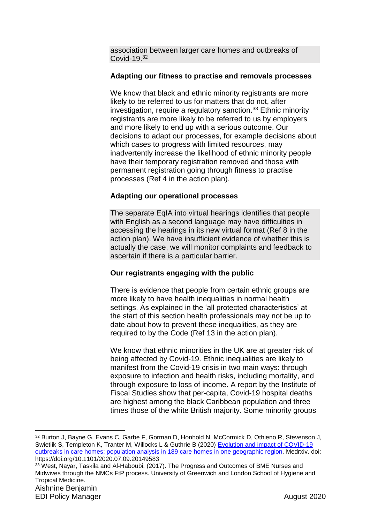| association between larger care homes and outbreaks of<br>Covid-19.32                                                                                                                                                                                                                                                                                                                                                                                                                                                                                                                                                                                                                          |
|------------------------------------------------------------------------------------------------------------------------------------------------------------------------------------------------------------------------------------------------------------------------------------------------------------------------------------------------------------------------------------------------------------------------------------------------------------------------------------------------------------------------------------------------------------------------------------------------------------------------------------------------------------------------------------------------|
| Adapting our fitness to practise and removals processes                                                                                                                                                                                                                                                                                                                                                                                                                                                                                                                                                                                                                                        |
| We know that black and ethnic minority registrants are more<br>likely to be referred to us for matters that do not, after<br>investigation, require a regulatory sanction. <sup>33</sup> Ethnic minority<br>registrants are more likely to be referred to us by employers<br>and more likely to end up with a serious outcome. Our<br>decisions to adapt our processes, for example decisions about<br>which cases to progress with limited resources, may<br>inadvertently increase the likelihood of ethnic minority people<br>have their temporary registration removed and those with<br>permanent registration going through fitness to practise<br>processes (Ref 4 in the action plan). |
| <b>Adapting our operational processes</b>                                                                                                                                                                                                                                                                                                                                                                                                                                                                                                                                                                                                                                                      |
| The separate EqIA into virtual hearings identifies that people<br>with English as a second language may have difficulties in<br>accessing the hearings in its new virtual format (Ref 8 in the<br>action plan). We have insufficient evidence of whether this is<br>actually the case, we will monitor complaints and feedback to<br>ascertain if there is a particular barrier.                                                                                                                                                                                                                                                                                                               |
| Our registrants engaging with the public                                                                                                                                                                                                                                                                                                                                                                                                                                                                                                                                                                                                                                                       |
| There is evidence that people from certain ethnic groups are<br>more likely to have health inequalities in normal health<br>settings. As explained in the 'all protected characteristics' at<br>the start of this section health professionals may not be up to<br>date about how to prevent these inequalities, as they are<br>required to by the Code (Ref 13 in the action plan).                                                                                                                                                                                                                                                                                                           |
| We know that ethnic minorities in the UK are at greater risk of<br>being affected by Covid-19. Ethnic inequalities are likely to<br>manifest from the Covid-19 crisis in two main ways: through<br>exposure to infection and health risks, including mortality, and<br>through exposure to loss of income. A report by the Institute of<br>Fiscal Studies show that per-capita, Covid-19 hospital deaths<br>are highest among the black Caribbean population and three<br>times those of the white British majority. Some minority groups                                                                                                                                                      |

Aishnine Benjamin EDI Policy Manager **August 2020 Page 2020 August 2020** <sup>32</sup> Burton J, Bayne G, Evans C, Garbe F, Gorman D, Honhold N, McCormick D, Othieno R, Stevenson J, Swietlik S, Templeton K, Tranter M, Willocks L & Guthrie B (2020) Evolution and impact of COVID-19 [outbreaks in care homes: population analysis in 189 care homes in one geographic region.](https://www.medrxiv.org/content/10.1101/2020.07.09.20149583v1) Medrxiv. doi: https://doi.org/10.1101/2020.07.09.20149583 <sup>33</sup> West, Nayar, Taskila and Al-Haboubi. (2017). The Progress and Outcomes of BME Nurses and Midwives through the NMCs FtP process. University of Greenwich and London School of Hygiene and Tropical Medicine.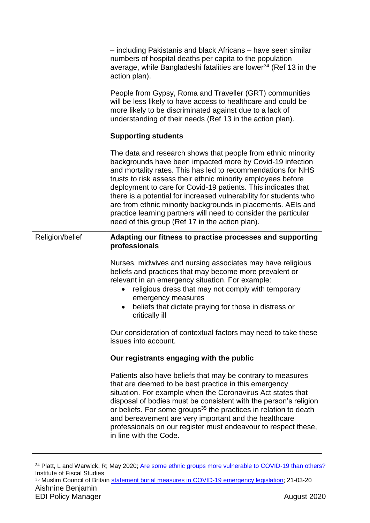|                 | - including Pakistanis and black Africans - have seen similar<br>numbers of hospital deaths per capita to the population<br>average, while Bangladeshi fatalities are lower <sup>34</sup> (Ref 13 in the<br>action plan).                                                                                                                                                                                                                                                                                                                                                             |
|-----------------|---------------------------------------------------------------------------------------------------------------------------------------------------------------------------------------------------------------------------------------------------------------------------------------------------------------------------------------------------------------------------------------------------------------------------------------------------------------------------------------------------------------------------------------------------------------------------------------|
|                 | People from Gypsy, Roma and Traveller (GRT) communities<br>will be less likely to have access to healthcare and could be<br>more likely to be discriminated against due to a lack of<br>understanding of their needs (Ref 13 in the action plan).                                                                                                                                                                                                                                                                                                                                     |
|                 | <b>Supporting students</b>                                                                                                                                                                                                                                                                                                                                                                                                                                                                                                                                                            |
|                 | The data and research shows that people from ethnic minority<br>backgrounds have been impacted more by Covid-19 infection<br>and mortality rates. This has led to recommendations for NHS<br>trusts to risk assess their ethnic minority employees before<br>deployment to care for Covid-19 patients. This indicates that<br>there is a potential for increased vulnerability for students who<br>are from ethnic minority backgrounds in placements. AEIs and<br>practice learning partners will need to consider the particular<br>need of this group (Ref 17 in the action plan). |
| Religion/belief | Adapting our fitness to practise processes and supporting                                                                                                                                                                                                                                                                                                                                                                                                                                                                                                                             |
|                 | professionals<br>Nurses, midwives and nursing associates may have religious<br>beliefs and practices that may become more prevalent or<br>relevant in an emergency situation. For example:<br>religious dress that may not comply with temporary<br>emergency measures<br>beliefs that dictate praying for those in distress or<br>critically ill                                                                                                                                                                                                                                     |
|                 | Our consideration of contextual factors may need to take these<br>issues into account.                                                                                                                                                                                                                                                                                                                                                                                                                                                                                                |
|                 | Our registrants engaging with the public                                                                                                                                                                                                                                                                                                                                                                                                                                                                                                                                              |
|                 | Patients also have beliefs that may be contrary to measures<br>that are deemed to be best practice in this emergency<br>situation. For example when the Coronavirus Act states that<br>disposal of bodies must be consistent with the person's religion<br>or beliefs. For some groups <sup>35</sup> the practices in relation to death<br>and bereavement are very important and the healthcare<br>professionals on our register must endeavour to respect these,<br>in line with the Code.                                                                                          |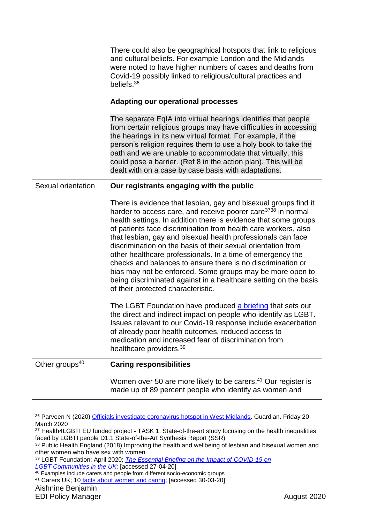|                    | There could also be geographical hotspots that link to religious<br>and cultural beliefs. For example London and the Midlands<br>were noted to have higher numbers of cases and deaths from<br>Covid-19 possibly linked to religious/cultural practices and<br>beliefs. <sup>36</sup><br><b>Adapting our operational processes</b>                                                                                                                                                                                                                                                                                                                                                                                   |  |
|--------------------|----------------------------------------------------------------------------------------------------------------------------------------------------------------------------------------------------------------------------------------------------------------------------------------------------------------------------------------------------------------------------------------------------------------------------------------------------------------------------------------------------------------------------------------------------------------------------------------------------------------------------------------------------------------------------------------------------------------------|--|
|                    | The separate EqIA into virtual hearings identifies that people<br>from certain religious groups may have difficulties in accessing<br>the hearings in its new virtual format. For example, if the<br>person's religion requires them to use a holy book to take the<br>oath and we are unable to accommodate that virtually, this<br>could pose a barrier. (Ref 8 in the action plan). This will be<br>dealt with on a case by case basis with adaptations.                                                                                                                                                                                                                                                          |  |
| Sexual orientation | Our registrants engaging with the public                                                                                                                                                                                                                                                                                                                                                                                                                                                                                                                                                                                                                                                                             |  |
|                    | There is evidence that lesbian, gay and bisexual groups find it<br>harder to access care, and receive poorer care <sup>3738</sup> in normal<br>health settings. In addition there is evidence that some groups<br>of patients face discrimination from health care workers, also<br>that lesbian, gay and bisexual health professionals can face<br>discrimination on the basis of their sexual orientation from<br>other healthcare professionals. In a time of emergency the<br>checks and balances to ensure there is no discrimination or<br>bias may not be enforced. Some groups may be more open to<br>being discriminated against in a healthcare setting on the basis<br>of their protected characteristic. |  |
|                    | The LGBT Foundation have produced a briefing that sets out<br>the direct and indirect impact on people who identify as LGBT.<br>Issues relevant to our Covid-19 response include exacerbation<br>of already poor health outcomes, reduced access to<br>medication and increased fear of discrimination from<br>healthcare providers. <sup>39</sup>                                                                                                                                                                                                                                                                                                                                                                   |  |
| Other groups $40$  | <b>Caring responsibilities</b>                                                                                                                                                                                                                                                                                                                                                                                                                                                                                                                                                                                                                                                                                       |  |
|                    | Women over 50 are more likely to be carers. <sup>41</sup> Our register is<br>made up of 89 percent people who identify as women and                                                                                                                                                                                                                                                                                                                                                                                                                                                                                                                                                                                  |  |

<sup>36</sup> Parveen N (2020) [Officials investigate coronavirus hotspot in West Midlands.](https://www.theguardian.com/world/2020/mar/20/sharp-rise-in-number-of-coronavirus-cases-in-west-midlands) Guardian. Friday 20 March 2020

<u>.</u>

<sup>37</sup> Health4LGBTI EU funded project - TASK 1: State-of-the-art study focusing on the health inequalities faced by LGBTI people D1.1 State-of-the-Art Synthesis Report (SSR)

<sup>38</sup> Public Health England (2018) Improving the health and wellbeing of lesbian and bisexual women and other women who have sex with women.

<sup>39</sup> LGBT Foundation; April 2020; *[The Essential Briefing on the Impact of COVID-19 on](file://///idc01nmcmfpsv01/Gdrive$/AishnineB/Documents/Offline%20Records%20(TL)/Equality%20~%20Strategy%20-%20Equality%20-%20Policy%20and%20Compliance(2)/The%20Essential%20Briefing%20on%20the%20Impact%20of%20COVID-19%20on) [LGBT Communities in the UK;](file://///idc01nmcmfpsv01/Gdrive$/AishnineB/Documents/Offline%20Records%20(TL)/Equality%20~%20Strategy%20-%20Equality%20-%20Policy%20and%20Compliance(2)/The%20Essential%20Briefing%20on%20the%20Impact%20of%20COVID-19%20on)* [accessed 27-04-20]

<sup>&</sup>lt;sup>40</sup> Examples include carers and people from different socio-economic groups

<sup>41</sup> Carers UK; 10 [facts about women and caring;](https://www.carersuk.org/news-and-campaigns/features/10-facts-about-women-and-caring-in-the-uk-on-international-women-s-day) [accessed 30-03-20]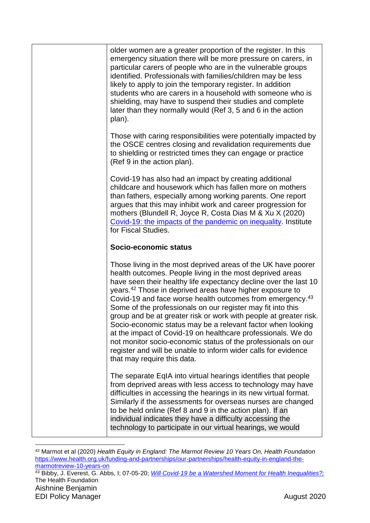| older women are a greater proportion of the register. In this<br>emergency situation there will be more pressure on carers, in<br>particular carers of people who are in the vulnerable groups<br>identified. Professionals with families/children may be less<br>likely to apply to join the temporary register. In addition<br>students who are carers in a household with someone who is<br>shielding, may have to suspend their studies and complete<br>later than they normally would (Ref 3, 5 and 6 in the action<br>plan).                                                                                                                                                                                                                                                   |
|--------------------------------------------------------------------------------------------------------------------------------------------------------------------------------------------------------------------------------------------------------------------------------------------------------------------------------------------------------------------------------------------------------------------------------------------------------------------------------------------------------------------------------------------------------------------------------------------------------------------------------------------------------------------------------------------------------------------------------------------------------------------------------------|
| Those with caring responsibilities were potentially impacted by<br>the OSCE centres closing and revalidation requirements due<br>to shielding or restricted times they can engage or practice<br>(Ref 9 in the action plan).                                                                                                                                                                                                                                                                                                                                                                                                                                                                                                                                                         |
| Covid-19 has also had an impact by creating additional<br>childcare and housework which has fallen more on mothers<br>than fathers, especially among working parents. One report<br>argues that this may inhibit work and career progression for<br>mothers (Blundell R, Joyce R, Costa Dias M & Xu X (2020)<br>Covid-19: the impacts of the pandemic on inequality. Institute<br>for Fiscal Studies.                                                                                                                                                                                                                                                                                                                                                                                |
| Socio-economic status                                                                                                                                                                                                                                                                                                                                                                                                                                                                                                                                                                                                                                                                                                                                                                |
| Those living in the most deprived areas of the UK have poorer<br>health outcomes. People living in the most deprived areas<br>have seen their healthy life expectancy decline over the last 10<br>years. <sup>42</sup> Those in deprived areas have higher exposure to<br>Covid-19 and face worse health outcomes from emergency. <sup>43</sup><br>Some of the professionals on our register may fit into this<br>group and be at greater risk or work with people at greater risk.<br>Socio-economic status may be a relevant factor when looking<br>at the impact of Covid-19 on healthcare professionals. We do<br>not monitor socio-economic status of the professionals on our<br>register and will be unable to inform wider calls for evidence<br>that may require this data. |
| The separate EqIA into virtual hearings identifies that people<br>from deprived areas with less access to technology may have<br>difficulties in accessing the hearings in its new virtual format.<br>Similarly if the assessments for overseas nurses are changed<br>to be held online (Ref 8 and 9 in the action plan). If an<br>individual indicates they have a difficulty accessing the<br>technology to participate in our virtual hearings, we would                                                                                                                                                                                                                                                                                                                          |
|                                                                                                                                                                                                                                                                                                                                                                                                                                                                                                                                                                                                                                                                                                                                                                                      |

<sup>42</sup> Marmot et al (2020) *Health Equity in England: The Marmot Review 10 Years On, Health Foundation* [https://www.health.org.uk/funding-and-partnerships/our-partnerships/health-equity-in-england-the](https://www.health.org.uk/funding-and-partnerships/our-partnerships/health-equity-in-england-the-marmotreview-10-years-on)[marmotreview-10-years-on](https://www.health.org.uk/funding-and-partnerships/our-partnerships/health-equity-in-england-the-marmotreview-10-years-on)

Aishnine Benjamin <sup>43</sup> Bibby, J. Everest, G. Abbs, I; 07-05-20; *[Will Covid-19 be a Watershed Moment for Health Inequalities?;](https://www.health.org.uk/publications/long-reads/will-covid-19-be-a-watershed-moment-for-health-inequalities)* The Health Foundation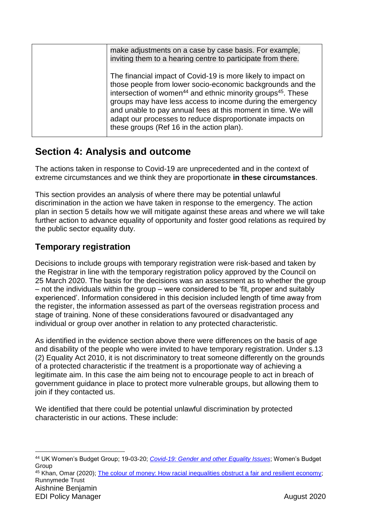| make adjustments on a case by case basis. For example,<br>inviting them to a hearing centre to participate from there.                                                                                                                                                                                                                                                                                                                                      |
|-------------------------------------------------------------------------------------------------------------------------------------------------------------------------------------------------------------------------------------------------------------------------------------------------------------------------------------------------------------------------------------------------------------------------------------------------------------|
| The financial impact of Covid-19 is more likely to impact on<br>those people from lower socio-economic backgrounds and the<br>intersection of women <sup>44</sup> and ethnic minority groups <sup>45</sup> . These<br>groups may have less access to income during the emergency<br>and unable to pay annual fees at this moment in time. We will<br>adapt our processes to reduce disproportionate impacts on<br>these groups (Ref 16 in the action plan). |

### <span id="page-31-0"></span>**Section 4: Analysis and outcome**

The actions taken in response to Covid-19 are unprecedented and in the context of extreme circumstances and we think they are proportionate **in these circumstances**.

This section provides an analysis of where there may be potential unlawful discrimination in the action we have taken in response to the emergency. The action plan in section 5 details how we will mitigate against these areas and where we will take further action to advance equality of opportunity and foster good relations as required by the public sector equality duty.

### **Temporary registration**

Decisions to include groups with temporary registration were risk-based and taken by the Registrar in line with the temporary registration policy approved by the Council on 25 March 2020. The basis for the decisions was an assessment as to whether the group – not the individuals within the group – were considered to be 'fit, proper and suitably experienced'. Information considered in this decision included length of time away from the register, the information assessed as part of the overseas registration process and stage of training. None of these considerations favoured or disadvantaged any individual or group over another in relation to any protected characteristic.

As identified in the evidence section above there were differences on the basis of age and disability of the people who were invited to have temporary registration. Under s.13 (2) Equality Act 2010, it is not discriminatory to treat someone differently on the grounds of a protected characteristic if the treatment is a proportionate way of achieving a legitimate aim. In this case the aim being not to encourage people to act in breach of government guidance in place to protect more vulnerable groups, but allowing them to join if they contacted us.

We identified that there could be potential unlawful discrimination by protected characteristic in our actions. These include:

45 Khan, Omar (2020); [The colour of money: How racial inequalities obstruct a fair and resilient economy;](https://www.runnymedetrust.org/projects-and-publications/employment-3/the-colour-of-money.html) Runnymede Trust

<sup>44</sup> UK Women's Budget Group; 19-03-20; *[Covid-19: Gender and other Equality Issues](https://wbg.org.uk/wp-content/uploads/2020/03/FINAL-Covid-19-briefing.pdf)*; Women's Budget Group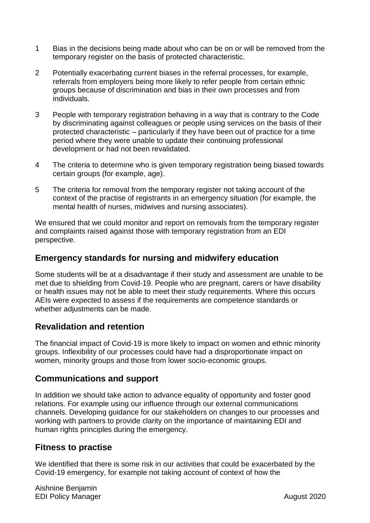- 1 Bias in the decisions being made about who can be on or will be removed from the temporary register on the basis of protected characteristic.
- 2 Potentially exacerbating current biases in the referral processes, for example, referrals from employers being more likely to refer people from certain ethnic groups because of discrimination and bias in their own processes and from individuals.
- 3 People with temporary registration behaving in a way that is contrary to the Code by discriminating against colleagues or people using services on the basis of their protected characteristic – particularly if they have been out of practice for a time period where they were unable to update their continuing professional development or had not been revalidated.
- 4 The criteria to determine who is given temporary registration being biased towards certain groups (for example, age).
- 5 The criteria for removal from the temporary register not taking account of the context of the practise of registrants in an emergency situation (for example, the mental health of nurses, midwives and nursing associates).

We ensured that we could monitor and report on removals from the temporary register and complaints raised against those with temporary registration from an EDI perspective.

#### **Emergency standards for nursing and midwifery education**

Some students will be at a disadvantage if their study and assessment are unable to be met due to shielding from Covid-19. People who are pregnant, carers or have disability or health issues may not be able to meet their study requirements. Where this occurs AEIs were expected to assess if the requirements are competence standards or whether adjustments can be made.

### **Revalidation and retention**

The financial impact of Covid-19 is more likely to impact on women and ethnic minority groups. Inflexibility of our processes could have had a disproportionate impact on women, minority groups and those from lower socio-economic groups.

#### **Communications and support**

In addition we should take action to advance equality of opportunity and foster good relations. For example using our influence through our external communications channels. Developing guidance for our stakeholders on changes to our processes and working with partners to provide clarity on the importance of maintaining EDI and human rights principles during the emergency.

#### **Fitness to practise**

We identified that there is some risk in our activities that could be exacerbated by the Covid-19 emergency, for example not taking account of context of how the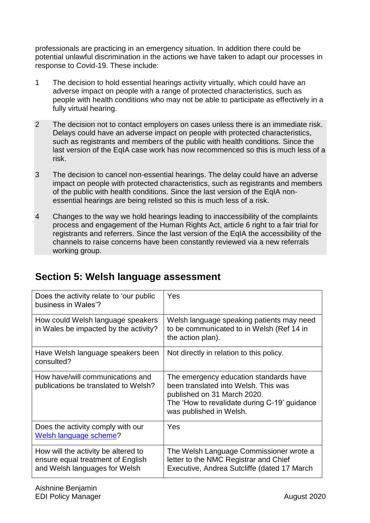professionals are practicing in an emergency situation. In addition there could be potential unlawful discrimination in the actions we have taken to adapt our processes in response to Covid-19. These include:

- 1 The decision to hold essential hearings activity virtually, which could have an adverse impact on people with a range of protected characteristics, such as people with health conditions who may not be able to participate as effectively in a fully virtual hearing.
- 2 The decision not to contact employers on cases unless there is an immediate risk. Delays could have an adverse impact on people with protected characteristics, such as registrants and members of the public with health conditions. Since the last version of the EqIA case work has now recommenced so this is much less of a risk.
- 3 The decision to cancel non-essential hearings. The delay could have an adverse impact on people with protected characteristics, such as registrants and members of the public with health conditions. Since the last version of the EqIA nonessential hearings are being relisted so this is much less of a risk.
- 4 Changes to the way we hold hearings leading to inaccessibility of the complaints process and engagement of the Human Rights Act, article 6 right to a fair trial for registrants and referrers. Since the last version of the EqIA the accessibility of the channels to raise concerns have been constantly reviewed via a new referrals working group.

| Does the activity relate to 'our public<br>business in Wales'?                                            | Yes                                                                                                                                                                                      |
|-----------------------------------------------------------------------------------------------------------|------------------------------------------------------------------------------------------------------------------------------------------------------------------------------------------|
| How could Welsh language speakers<br>in Wales be impacted by the activity?                                | Welsh language speaking patients may need<br>to be communicated to in Welsh (Ref 14 in<br>the action plan).                                                                              |
| Have Welsh language speakers been<br>consulted?                                                           | Not directly in relation to this policy.                                                                                                                                                 |
| How have/will communications and<br>publications be translated to Welsh?                                  | The emergency education standards have<br>been translated into Welsh. This was<br>published on 31 March 2020.<br>The 'How to revalidate during C-19' guidance<br>was published in Welsh. |
| Does the activity comply with our<br>Welsh language scheme?                                               | Yes                                                                                                                                                                                      |
| How will the activity be altered to<br>ensure equal treatment of English<br>and Welsh languages for Welsh | The Welsh Language Commissioner wrote a<br>letter to the NMC Registrar and Chief<br>Executive, Andrea Sutcliffe (dated 17 March                                                          |

# <span id="page-33-0"></span>**Section 5: Welsh language assessment**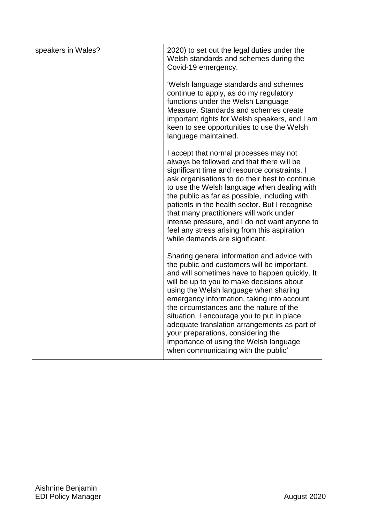| speakers in Wales? | 2020) to set out the legal duties under the<br>Welsh standards and schemes during the<br>Covid-19 emergency.                                                                                                                                                                                                                                                                                                                                                                                                                                    |
|--------------------|-------------------------------------------------------------------------------------------------------------------------------------------------------------------------------------------------------------------------------------------------------------------------------------------------------------------------------------------------------------------------------------------------------------------------------------------------------------------------------------------------------------------------------------------------|
|                    | 'Welsh language standards and schemes<br>continue to apply, as do my regulatory<br>functions under the Welsh Language<br>Measure. Standards and schemes create<br>important rights for Welsh speakers, and I am<br>keen to see opportunities to use the Welsh<br>language maintained.                                                                                                                                                                                                                                                           |
|                    | I accept that normal processes may not<br>always be followed and that there will be<br>significant time and resource constraints. I<br>ask organisations to do their best to continue<br>to use the Welsh language when dealing with<br>the public as far as possible, including with<br>patients in the health sector. But I recognise<br>that many practitioners will work under<br>intense pressure, and I do not want anyone to<br>feel any stress arising from this aspiration<br>while demands are significant.                           |
|                    | Sharing general information and advice with<br>the public and customers will be important,<br>and will sometimes have to happen quickly. It<br>will be up to you to make decisions about<br>using the Welsh language when sharing<br>emergency information, taking into account<br>the circumstances and the nature of the<br>situation. I encourage you to put in place<br>adequate translation arrangements as part of<br>your preparations, considering the<br>importance of using the Welsh language<br>when communicating with the public' |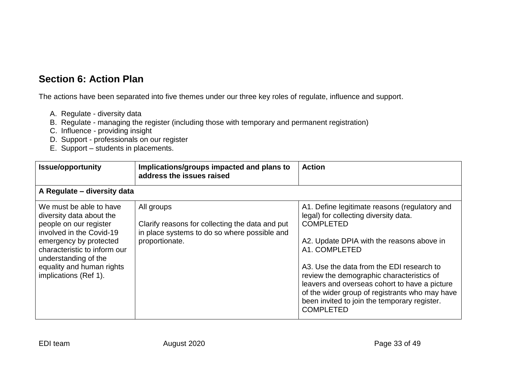### **Section 6: Action Plan**

The actions have been separated into five themes under our three key roles of regulate, influence and support.

- A. Regulate diversity data
- B. Regulate managing the register (including those with temporary and permanent registration)
- C. Influence providing insight
- D. Support professionals on our register
- E. Support students in placements.

<span id="page-35-0"></span>

| <b>Issue/opportunity</b>                                                                                                                                                                                                                          | Implications/groups impacted and plans to<br>address the issues raised                                                          | <b>Action</b>                                                                                                                                                                                                                                                                                                                                                                                                                             |
|---------------------------------------------------------------------------------------------------------------------------------------------------------------------------------------------------------------------------------------------------|---------------------------------------------------------------------------------------------------------------------------------|-------------------------------------------------------------------------------------------------------------------------------------------------------------------------------------------------------------------------------------------------------------------------------------------------------------------------------------------------------------------------------------------------------------------------------------------|
| A Regulate - diversity data                                                                                                                                                                                                                       |                                                                                                                                 |                                                                                                                                                                                                                                                                                                                                                                                                                                           |
| We must be able to have<br>diversity data about the<br>people on our register<br>involved in the Covid-19<br>emergency by protected<br>characteristic to inform our<br>understanding of the<br>equality and human rights<br>implications (Ref 1). | All groups<br>Clarify reasons for collecting the data and put<br>in place systems to do so where possible and<br>proportionate. | A1. Define legitimate reasons (regulatory and<br>legal) for collecting diversity data.<br><b>COMPLETED</b><br>A2. Update DPIA with the reasons above in<br>A1. COMPLETED<br>A3. Use the data from the EDI research to<br>review the demographic characteristics of<br>leavers and overseas cohort to have a picture<br>of the wider group of registrants who may have<br>been invited to join the temporary register.<br><b>COMPLETED</b> |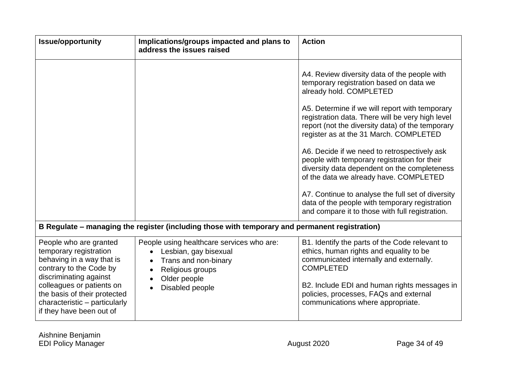| <b>Issue/opportunity</b>                                                                                                                                                                                                                                     | Implications/groups impacted and plans to<br>address the issues raised                                                                            | <b>Action</b>                                                                                                                                                                                                                                                                                                                                                                                                                                                                                                                                                                                                                                                              |
|--------------------------------------------------------------------------------------------------------------------------------------------------------------------------------------------------------------------------------------------------------------|---------------------------------------------------------------------------------------------------------------------------------------------------|----------------------------------------------------------------------------------------------------------------------------------------------------------------------------------------------------------------------------------------------------------------------------------------------------------------------------------------------------------------------------------------------------------------------------------------------------------------------------------------------------------------------------------------------------------------------------------------------------------------------------------------------------------------------------|
|                                                                                                                                                                                                                                                              |                                                                                                                                                   | A4. Review diversity data of the people with<br>temporary registration based on data we<br>already hold. COMPLETED<br>A5. Determine if we will report with temporary<br>registration data. There will be very high level<br>report (not the diversity data) of the temporary<br>register as at the 31 March. COMPLETED<br>A6. Decide if we need to retrospectively ask<br>people with temporary registration for their<br>diversity data dependent on the completeness<br>of the data we already have. COMPLETED<br>A7. Continue to analyse the full set of diversity<br>data of the people with temporary registration<br>and compare it to those with full registration. |
|                                                                                                                                                                                                                                                              | B Regulate – managing the register (including those with temporary and permanent registration)                                                    |                                                                                                                                                                                                                                                                                                                                                                                                                                                                                                                                                                                                                                                                            |
| People who are granted<br>temporary registration<br>behaving in a way that is<br>contrary to the Code by<br>discriminating against<br>colleagues or patients on<br>the basis of their protected<br>characteristic - particularly<br>if they have been out of | People using healthcare services who are:<br>Lesbian, gay bisexual<br>Trans and non-binary<br>Religious groups<br>Older people<br>Disabled people | B1. Identify the parts of the Code relevant to<br>ethics, human rights and equality to be<br>communicated internally and externally.<br><b>COMPLETED</b><br>B2. Include EDI and human rights messages in<br>policies, processes, FAQs and external<br>communications where appropriate.                                                                                                                                                                                                                                                                                                                                                                                    |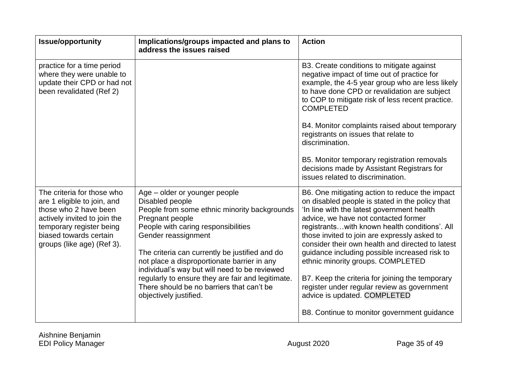| <b>Issue/opportunity</b>                                                                                                                                                                               | Implications/groups impacted and plans to<br>address the issues raised                                                                                                                                                                                                                                                                                                                                                                                          | <b>Action</b>                                                                                                                                                                                                                                                                                                                                                                                                                                                                                                                                                                                                       |
|--------------------------------------------------------------------------------------------------------------------------------------------------------------------------------------------------------|-----------------------------------------------------------------------------------------------------------------------------------------------------------------------------------------------------------------------------------------------------------------------------------------------------------------------------------------------------------------------------------------------------------------------------------------------------------------|---------------------------------------------------------------------------------------------------------------------------------------------------------------------------------------------------------------------------------------------------------------------------------------------------------------------------------------------------------------------------------------------------------------------------------------------------------------------------------------------------------------------------------------------------------------------------------------------------------------------|
| practice for a time period<br>where they were unable to<br>update their CPD or had not<br>been revalidated (Ref 2)                                                                                     |                                                                                                                                                                                                                                                                                                                                                                                                                                                                 | B3. Create conditions to mitigate against<br>negative impact of time out of practice for<br>example, the 4-5 year group who are less likely<br>to have done CPD or revalidation are subject<br>to COP to mitigate risk of less recent practice.<br><b>COMPLETED</b><br>B4. Monitor complaints raised about temporary<br>registrants on issues that relate to<br>discrimination.<br>B5. Monitor temporary registration removals<br>decisions made by Assistant Registrars for<br>issues related to discrimination.                                                                                                   |
| The criteria for those who<br>are 1 eligible to join, and<br>those who 2 have been<br>actively invited to join the<br>temporary register being<br>biased towards certain<br>groups (like age) (Ref 3). | Age - older or younger people<br>Disabled people<br>People from some ethnic minority backgrounds<br>Pregnant people<br>People with caring responsibilities<br>Gender reassignment<br>The criteria can currently be justified and do<br>not place a disproportionate barrier in any<br>individual's way but will need to be reviewed<br>regularly to ensure they are fair and legitimate.<br>There should be no barriers that can't be<br>objectively justified. | B6. One mitigating action to reduce the impact<br>on disabled people is stated in the policy that<br>'In line with the latest government health<br>advice, we have not contacted former<br>registrantswith known health conditions'. All<br>those invited to join are expressly asked to<br>consider their own health and directed to latest<br>guidance including possible increased risk to<br>ethnic minority groups. COMPLETED<br>B7. Keep the criteria for joining the temporary<br>register under regular review as government<br>advice is updated. COMPLETED<br>B8. Continue to monitor government guidance |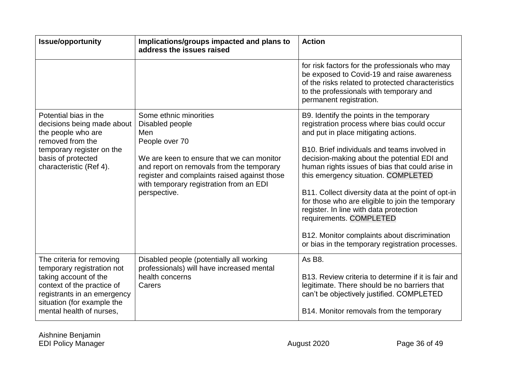| <b>Issue/opportunity</b>                                                                                                                                                                                | Implications/groups impacted and plans to<br>address the issues raised                                                                                                                                                                                                  | <b>Action</b>                                                                                                                                                                                                                                                                                                                                                                                                                                                                                                                                                                                               |
|---------------------------------------------------------------------------------------------------------------------------------------------------------------------------------------------------------|-------------------------------------------------------------------------------------------------------------------------------------------------------------------------------------------------------------------------------------------------------------------------|-------------------------------------------------------------------------------------------------------------------------------------------------------------------------------------------------------------------------------------------------------------------------------------------------------------------------------------------------------------------------------------------------------------------------------------------------------------------------------------------------------------------------------------------------------------------------------------------------------------|
|                                                                                                                                                                                                         |                                                                                                                                                                                                                                                                         | for risk factors for the professionals who may<br>be exposed to Covid-19 and raise awareness<br>of the risks related to protected characteristics<br>to the professionals with temporary and<br>permanent registration.                                                                                                                                                                                                                                                                                                                                                                                     |
| Potential bias in the<br>decisions being made about<br>the people who are<br>removed from the<br>temporary register on the<br>basis of protected<br>characteristic (Ref 4).                             | Some ethnic minorities<br>Disabled people<br>Men<br>People over 70<br>We are keen to ensure that we can monitor<br>and report on removals from the temporary<br>register and complaints raised against those<br>with temporary registration from an EDI<br>perspective. | B9. Identify the points in the temporary<br>registration process where bias could occur<br>and put in place mitigating actions.<br>B10. Brief individuals and teams involved in<br>decision-making about the potential EDI and<br>human rights issues of bias that could arise in<br>this emergency situation. COMPLETED<br>B11. Collect diversity data at the point of opt-in<br>for those who are eligible to join the temporary<br>register. In line with data protection<br>requirements. COMPLETED<br>B12. Monitor complaints about discrimination<br>or bias in the temporary registration processes. |
| The criteria for removing<br>temporary registration not<br>taking account of the<br>context of the practice of<br>registrants in an emergency<br>situation (for example the<br>mental health of nurses, | Disabled people (potentially all working<br>professionals) will have increased mental<br>health concerns<br>Carers                                                                                                                                                      | As B8.<br>B13. Review criteria to determine if it is fair and<br>legitimate. There should be no barriers that<br>can't be objectively justified. COMPLETED<br>B14. Monitor removals from the temporary                                                                                                                                                                                                                                                                                                                                                                                                      |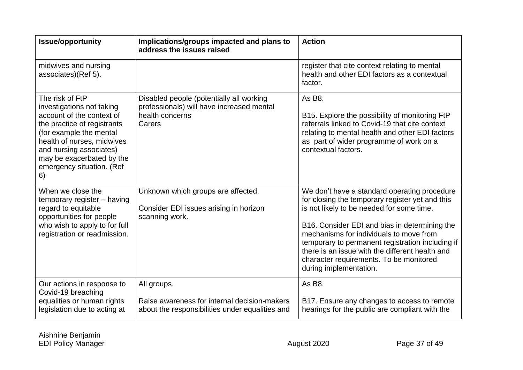| <b>Issue/opportunity</b>                                                                                                                                                                                                                                     | Implications/groups impacted and plans to<br>address the issues raised                                             | <b>Action</b>                                                                                                                                                                                                                                                                                                                                                                                                        |
|--------------------------------------------------------------------------------------------------------------------------------------------------------------------------------------------------------------------------------------------------------------|--------------------------------------------------------------------------------------------------------------------|----------------------------------------------------------------------------------------------------------------------------------------------------------------------------------------------------------------------------------------------------------------------------------------------------------------------------------------------------------------------------------------------------------------------|
| midwives and nursing<br>associates)(Ref 5).                                                                                                                                                                                                                  |                                                                                                                    | register that cite context relating to mental<br>health and other EDI factors as a contextual<br>factor.                                                                                                                                                                                                                                                                                                             |
| The risk of FtP<br>investigations not taking<br>account of the context of<br>the practice of registrants<br>(for example the mental<br>health of nurses, midwives<br>and nursing associates)<br>may be exacerbated by the<br>emergency situation. (Ref<br>6) | Disabled people (potentially all working<br>professionals) will have increased mental<br>health concerns<br>Carers | As B8.<br>B15. Explore the possibility of monitoring FtP<br>referrals linked to Covid-19 that cite context<br>relating to mental health and other EDI factors<br>as part of wider programme of work on a<br>contextual factors.                                                                                                                                                                                      |
| When we close the<br>temporary register - having<br>regard to equitable<br>opportunities for people<br>who wish to apply to for full<br>registration or readmission.                                                                                         | Unknown which groups are affected.<br>Consider EDI issues arising in horizon<br>scanning work.                     | We don't have a standard operating procedure<br>for closing the temporary register yet and this<br>is not likely to be needed for some time.<br>B16. Consider EDI and bias in determining the<br>mechanisms for individuals to move from<br>temporary to permanent registration including if<br>there is an issue with the different health and<br>character requirements. To be monitored<br>during implementation. |
| Our actions in response to<br>Covid-19 breaching<br>equalities or human rights<br>legislation due to acting at                                                                                                                                               | All groups.<br>Raise awareness for internal decision-makers<br>about the responsibilities under equalities and     | As B8.<br>B17. Ensure any changes to access to remote<br>hearings for the public are compliant with the                                                                                                                                                                                                                                                                                                              |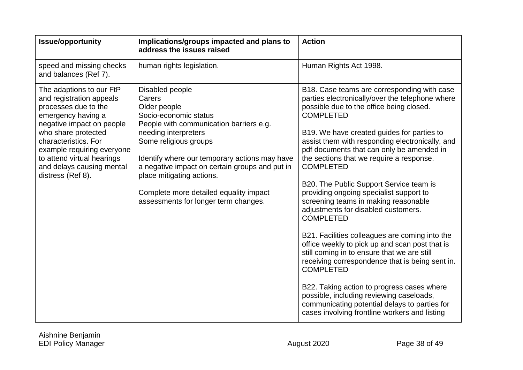| <b>Issue/opportunity</b>                                                                                                                                                                                                                                                                     | Implications/groups impacted and plans to<br>address the issues raised                                                                                                                                                                                                                                                                                                           | <b>Action</b>                                                                                                                                                                                                                                                                                                                                                                                                                                                                                                                                                                                                                                                                                                                                                                                                                                                                                                                                                                               |
|----------------------------------------------------------------------------------------------------------------------------------------------------------------------------------------------------------------------------------------------------------------------------------------------|----------------------------------------------------------------------------------------------------------------------------------------------------------------------------------------------------------------------------------------------------------------------------------------------------------------------------------------------------------------------------------|---------------------------------------------------------------------------------------------------------------------------------------------------------------------------------------------------------------------------------------------------------------------------------------------------------------------------------------------------------------------------------------------------------------------------------------------------------------------------------------------------------------------------------------------------------------------------------------------------------------------------------------------------------------------------------------------------------------------------------------------------------------------------------------------------------------------------------------------------------------------------------------------------------------------------------------------------------------------------------------------|
| speed and missing checks<br>and balances (Ref 7).                                                                                                                                                                                                                                            | human rights legislation.                                                                                                                                                                                                                                                                                                                                                        | Human Rights Act 1998.                                                                                                                                                                                                                                                                                                                                                                                                                                                                                                                                                                                                                                                                                                                                                                                                                                                                                                                                                                      |
| The adaptions to our FtP<br>and registration appeals<br>processes due to the<br>emergency having a<br>negative impact on people<br>who share protected<br>characteristics. For<br>example requiring everyone<br>to attend virtual hearings<br>and delays causing mental<br>distress (Ref 8). | Disabled people<br>Carers<br>Older people<br>Socio-economic status<br>People with communication barriers e.g.<br>needing interpreters<br>Some religious groups<br>Identify where our temporary actions may have<br>a negative impact on certain groups and put in<br>place mitigating actions.<br>Complete more detailed equality impact<br>assessments for longer term changes. | B18. Case teams are corresponding with case<br>parties electronically/over the telephone where<br>possible due to the office being closed.<br><b>COMPLETED</b><br>B19. We have created guides for parties to<br>assist them with responding electronically, and<br>pdf documents that can only be amended in<br>the sections that we require a response.<br><b>COMPLETED</b><br>B20. The Public Support Service team is<br>providing ongoing specialist support to<br>screening teams in making reasonable<br>adjustments for disabled customers.<br><b>COMPLETED</b><br>B21. Facilities colleagues are coming into the<br>office weekly to pick up and scan post that is<br>still coming in to ensure that we are still<br>receiving correspondence that is being sent in.<br><b>COMPLETED</b><br>B22. Taking action to progress cases where<br>possible, including reviewing caseloads,<br>communicating potential delays to parties for<br>cases involving frontline workers and listing |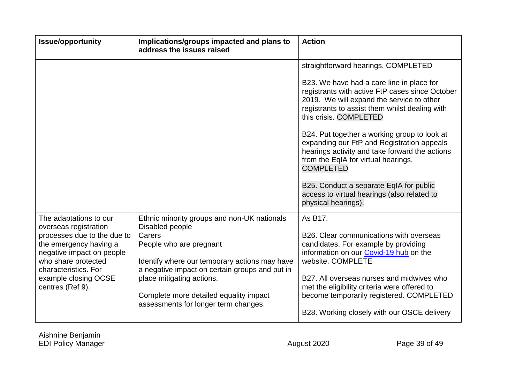| <b>Issue/opportunity</b>                                                                                                                                                                                                         | Implications/groups impacted and plans to<br>address the issues raised                                                                                                                                                                                                                                                | <b>Action</b>                                                                                                                                                                                                                                                                                                                                                                                                                                                                                                                                                     |
|----------------------------------------------------------------------------------------------------------------------------------------------------------------------------------------------------------------------------------|-----------------------------------------------------------------------------------------------------------------------------------------------------------------------------------------------------------------------------------------------------------------------------------------------------------------------|-------------------------------------------------------------------------------------------------------------------------------------------------------------------------------------------------------------------------------------------------------------------------------------------------------------------------------------------------------------------------------------------------------------------------------------------------------------------------------------------------------------------------------------------------------------------|
|                                                                                                                                                                                                                                  |                                                                                                                                                                                                                                                                                                                       | straightforward hearings. COMPLETED<br>B23. We have had a care line in place for<br>registrants with active FtP cases since October<br>2019. We will expand the service to other<br>registrants to assist them whilst dealing with<br>this crisis. COMPLETED<br>B24. Put together a working group to look at<br>expanding our FtP and Registration appeals<br>hearings activity and take forward the actions<br>from the EqIA for virtual hearings.<br><b>COMPLETED</b><br>B25. Conduct a separate EqIA for public<br>access to virtual hearings (also related to |
| The adaptations to our<br>overseas registration<br>processes due to the due to<br>the emergency having a<br>negative impact on people<br>who share protected<br>characteristics. For<br>example closing OCSE<br>centres (Ref 9). | Ethnic minority groups and non-UK nationals<br>Disabled people<br>Carers<br>People who are pregnant<br>Identify where our temporary actions may have<br>a negative impact on certain groups and put in<br>place mitigating actions.<br>Complete more detailed equality impact<br>assessments for longer term changes. | physical hearings).<br>As B17.<br>B26. Clear communications with overseas<br>candidates. For example by providing<br>information on our Covid-19 hub on the<br>website. COMPLETE<br>B27. All overseas nurses and midwives who<br>met the eligibility criteria were offered to<br>become temporarily registered. COMPLETED<br>B28. Working closely with our OSCE delivery                                                                                                                                                                                          |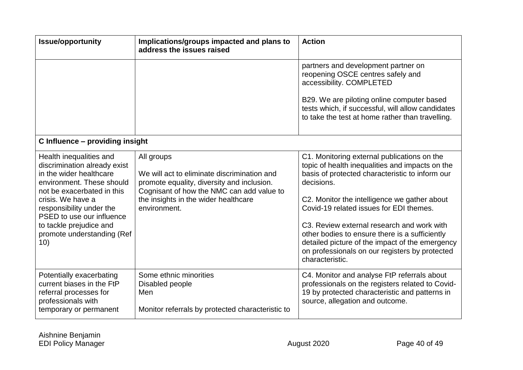| <b>Issue/opportunity</b>                                                                                                                                                                                                                                                                    | Implications/groups impacted and plans to<br>address the issues raised                                                                                                                                       | <b>Action</b>                                                                                                                                                                                                                                                                                                                                                                                                                                                                      |
|---------------------------------------------------------------------------------------------------------------------------------------------------------------------------------------------------------------------------------------------------------------------------------------------|--------------------------------------------------------------------------------------------------------------------------------------------------------------------------------------------------------------|------------------------------------------------------------------------------------------------------------------------------------------------------------------------------------------------------------------------------------------------------------------------------------------------------------------------------------------------------------------------------------------------------------------------------------------------------------------------------------|
|                                                                                                                                                                                                                                                                                             |                                                                                                                                                                                                              | partners and development partner on<br>reopening OSCE centres safely and<br>accessibility. COMPLETED                                                                                                                                                                                                                                                                                                                                                                               |
|                                                                                                                                                                                                                                                                                             |                                                                                                                                                                                                              | B29. We are piloting online computer based<br>tests which, if successful, will allow candidates<br>to take the test at home rather than travelling.                                                                                                                                                                                                                                                                                                                                |
| C Influence - providing insight                                                                                                                                                                                                                                                             |                                                                                                                                                                                                              |                                                                                                                                                                                                                                                                                                                                                                                                                                                                                    |
| Health inequalities and<br>discrimination already exist<br>in the wider healthcare<br>environment. These should<br>not be exacerbated in this<br>crisis. We have a<br>responsibility under the<br>PSED to use our influence<br>to tackle prejudice and<br>promote understanding (Ref<br>10) | All groups<br>We will act to eliminate discrimination and<br>promote equality, diversity and inclusion.<br>Cognisant of how the NMC can add value to<br>the insights in the wider healthcare<br>environment. | C1. Monitoring external publications on the<br>topic of health inequalities and impacts on the<br>basis of protected characteristic to inform our<br>decisions.<br>C2. Monitor the intelligence we gather about<br>Covid-19 related issues for EDI themes.<br>C3. Review external research and work with<br>other bodies to ensure there is a sufficiently<br>detailed picture of the impact of the emergency<br>on professionals on our registers by protected<br>characteristic. |
| Potentially exacerbating<br>current biases in the FtP<br>referral processes for<br>professionals with<br>temporary or permanent                                                                                                                                                             | Some ethnic minorities<br>Disabled people<br>Men<br>Monitor referrals by protected characteristic to                                                                                                         | C4. Monitor and analyse FtP referrals about<br>professionals on the registers related to Covid-<br>19 by protected characteristic and patterns in<br>source, allegation and outcome.                                                                                                                                                                                                                                                                                               |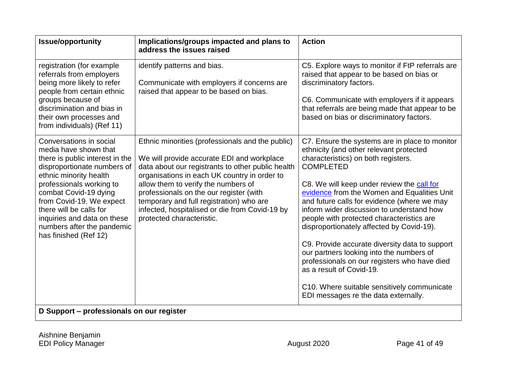| <b>Issue/opportunity</b>                                                                                                                                                                                                                                                                                                                       | Implications/groups impacted and plans to<br>address the issues raised                                                                                                                                                                                                                                                                                                                                           | <b>Action</b>                                                                                                                                                                                                                                                                                                                                                                                                                                                                                                                                                                                                                                                                                            |
|------------------------------------------------------------------------------------------------------------------------------------------------------------------------------------------------------------------------------------------------------------------------------------------------------------------------------------------------|------------------------------------------------------------------------------------------------------------------------------------------------------------------------------------------------------------------------------------------------------------------------------------------------------------------------------------------------------------------------------------------------------------------|----------------------------------------------------------------------------------------------------------------------------------------------------------------------------------------------------------------------------------------------------------------------------------------------------------------------------------------------------------------------------------------------------------------------------------------------------------------------------------------------------------------------------------------------------------------------------------------------------------------------------------------------------------------------------------------------------------|
| registration (for example<br>referrals from employers<br>being more likely to refer<br>people from certain ethnic<br>groups because of<br>discrimination and bias in<br>their own processes and<br>from individuals) (Ref 11)                                                                                                                  | identify patterns and bias.<br>Communicate with employers if concerns are<br>raised that appear to be based on bias.                                                                                                                                                                                                                                                                                             | C5. Explore ways to monitor if FtP referrals are<br>raised that appear to be based on bias or<br>discriminatory factors.<br>C6. Communicate with employers if it appears<br>that referrals are being made that appear to be<br>based on bias or discriminatory factors.                                                                                                                                                                                                                                                                                                                                                                                                                                  |
| Conversations in social<br>media have shown that<br>there is public interest in the<br>disproportionate numbers of<br>ethnic minority health<br>professionals working to<br>combat Covid-19 dying<br>from Covid-19. We expect<br>there will be calls for<br>inquiries and data on these<br>numbers after the pandemic<br>has finished (Ref 12) | Ethnic minorities (professionals and the public)<br>We will provide accurate EDI and workplace<br>data about our registrants to other public health<br>organisations in each UK country in order to<br>allow them to verify the numbers of<br>professionals on the our register (with<br>temporary and full registration) who are<br>infected, hospitalised or die from Covid-19 by<br>protected characteristic. | C7. Ensure the systems are in place to monitor<br>ethnicity (and other relevant protected<br>characteristics) on both registers.<br><b>COMPLETED</b><br>C8. We will keep under review the call for<br>evidence from the Women and Equalities Unit<br>and future calls for evidence (where we may<br>inform wider discussion to understand how<br>people with protected characteristics are<br>disproportionately affected by Covid-19).<br>C9. Provide accurate diversity data to support<br>our partners looking into the numbers of<br>professionals on our registers who have died<br>as a result of Covid-19.<br>C10. Where suitable sensitively communicate<br>EDI messages re the data externally. |
| D Support – professionals on our register                                                                                                                                                                                                                                                                                                      |                                                                                                                                                                                                                                                                                                                                                                                                                  |                                                                                                                                                                                                                                                                                                                                                                                                                                                                                                                                                                                                                                                                                                          |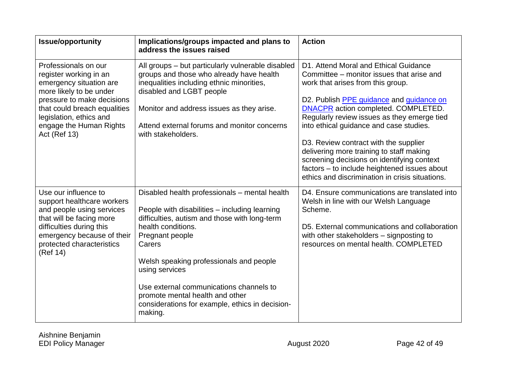| <b>Issue/opportunity</b>                                                                                                    | Implications/groups impacted and plans to<br>address the issues raised                                                                                                 | <b>Action</b>                                                                                                                                                                                                                      |
|-----------------------------------------------------------------------------------------------------------------------------|------------------------------------------------------------------------------------------------------------------------------------------------------------------------|------------------------------------------------------------------------------------------------------------------------------------------------------------------------------------------------------------------------------------|
| Professionals on our<br>register working in an<br>emergency situation are<br>more likely to be under                        | All groups – but particularly vulnerable disabled<br>groups and those who already have health<br>inequalities including ethnic minorities,<br>disabled and LGBT people | D1. Attend Moral and Ethical Guidance<br>Committee – monitor issues that arise and<br>work that arises from this group.                                                                                                            |
| pressure to make decisions<br>that could breach equalities<br>legislation, ethics and                                       | Monitor and address issues as they arise.                                                                                                                              | D2. Publish PPE guidance and guidance on<br>DNACPR action completed. COMPLETED.<br>Regularly review issues as they emerge tied                                                                                                     |
| engage the Human Rights<br><b>Act (Ref 13)</b>                                                                              | Attend external forums and monitor concerns<br>with stakeholders.                                                                                                      | into ethical guidance and case studies.                                                                                                                                                                                            |
|                                                                                                                             |                                                                                                                                                                        | D3. Review contract with the supplier<br>delivering more training to staff making<br>screening decisions on identifying context<br>factors - to include heightened issues about<br>ethics and discrimination in crisis situations. |
| Use our influence to<br>support healthcare workers<br>and people using services                                             | Disabled health professionals – mental health<br>People with disabilities - including learning                                                                         | D4. Ensure communications are translated into<br>Welsh in line with our Welsh Language<br>Scheme.                                                                                                                                  |
| that will be facing more<br>difficulties during this<br>emergency because of their<br>protected characteristics<br>(Ref 14) | difficulties, autism and those with long-term<br>health conditions.<br>Pregnant people<br>Carers                                                                       | D5. External communications and collaboration<br>with other stakeholders - signposting to<br>resources on mental health. COMPLETED                                                                                                 |
|                                                                                                                             | Welsh speaking professionals and people<br>using services                                                                                                              |                                                                                                                                                                                                                                    |
|                                                                                                                             | Use external communications channels to<br>promote mental health and other<br>considerations for example, ethics in decision-<br>making.                               |                                                                                                                                                                                                                                    |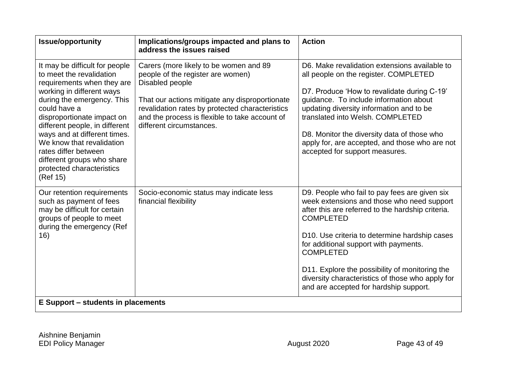| Carers (more likely to be women and 89<br>people of the register are women)<br>Disabled people<br>That our actions mitigate any disproportionate<br>revalidation rates by protected characteristics<br>and the process is flexible to take account of | D6. Make revalidation extensions available to<br>all people on the register. COMPLETED<br>D7. Produce 'How to revalidate during C-19'<br>guidance. To include information about<br>updating diversity information and to be                                                                                                                                                                                                                     |
|-------------------------------------------------------------------------------------------------------------------------------------------------------------------------------------------------------------------------------------------------------|-------------------------------------------------------------------------------------------------------------------------------------------------------------------------------------------------------------------------------------------------------------------------------------------------------------------------------------------------------------------------------------------------------------------------------------------------|
| different circumstances.                                                                                                                                                                                                                              | translated into Welsh, COMPLETED<br>D8. Monitor the diversity data of those who<br>apply for, are accepted, and those who are not<br>accepted for support measures.                                                                                                                                                                                                                                                                             |
| Socio-economic status may indicate less<br>financial flexibility                                                                                                                                                                                      | D9. People who fail to pay fees are given six<br>week extensions and those who need support<br>after this are referred to the hardship criteria.<br><b>COMPLETED</b><br>D <sub>10</sub> . Use criteria to determine hardship cases<br>for additional support with payments.<br><b>COMPLETED</b><br>D11. Explore the possibility of monitoring the<br>diversity characteristics of those who apply for<br>and are accepted for hardship support. |
|                                                                                                                                                                                                                                                       | <b>E Support – students in placements</b>                                                                                                                                                                                                                                                                                                                                                                                                       |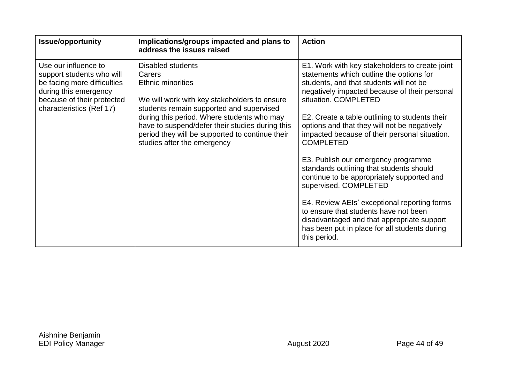| <b>Issue/opportunity</b>                                                                                                                                            | Implications/groups impacted and plans to<br>address the issues raised                                                                                                                                                                                                                                                                 | <b>Action</b>                                                                                                                                                                                                                                                                                                                                                                                                                                                                                                                                                                                                                                                                                                                                           |
|---------------------------------------------------------------------------------------------------------------------------------------------------------------------|----------------------------------------------------------------------------------------------------------------------------------------------------------------------------------------------------------------------------------------------------------------------------------------------------------------------------------------|---------------------------------------------------------------------------------------------------------------------------------------------------------------------------------------------------------------------------------------------------------------------------------------------------------------------------------------------------------------------------------------------------------------------------------------------------------------------------------------------------------------------------------------------------------------------------------------------------------------------------------------------------------------------------------------------------------------------------------------------------------|
| Use our influence to<br>support students who will<br>be facing more difficulties<br>during this emergency<br>because of their protected<br>characteristics (Ref 17) | Disabled students<br>Carers<br><b>Ethnic minorities</b><br>We will work with key stakeholders to ensure<br>students remain supported and supervised<br>during this period. Where students who may<br>have to suspend/defer their studies during this<br>period they will be supported to continue their<br>studies after the emergency | E1. Work with key stakeholders to create joint<br>statements which outline the options for<br>students, and that students will not be<br>negatively impacted because of their personal<br>situation, COMPLETED<br>E2. Create a table outlining to students their<br>options and that they will not be negatively<br>impacted because of their personal situation.<br><b>COMPLETED</b><br>E3. Publish our emergency programme<br>standards outlining that students should<br>continue to be appropriately supported and<br>supervised. COMPLETED<br>E4. Review AEIs' exceptional reporting forms<br>to ensure that students have not been<br>disadvantaged and that appropriate support<br>has been put in place for all students during<br>this period. |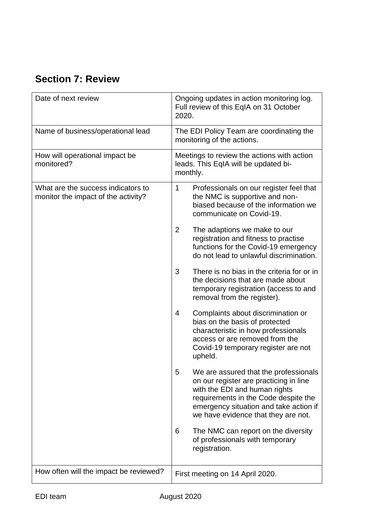# <span id="page-47-0"></span>**Section 7: Review**

| Date of next review                                                       | Ongoing updates in action monitoring log.<br>Full review of this EqIA on 31 October<br>2020.                                                                                                                                                   |  |
|---------------------------------------------------------------------------|------------------------------------------------------------------------------------------------------------------------------------------------------------------------------------------------------------------------------------------------|--|
| Name of business/operational lead                                         | The EDI Policy Team are coordinating the<br>monitoring of the actions.                                                                                                                                                                         |  |
| How will operational impact be<br>monitored?                              | Meetings to review the actions with action<br>leads. This EqIA will be updated bi-<br>monthly.                                                                                                                                                 |  |
| What are the success indicators to<br>monitor the impact of the activity? | 1<br>Professionals on our register feel that<br>the NMC is supportive and non-<br>biased because of the information we<br>communicate on Covid-19.                                                                                             |  |
|                                                                           | $\overline{2}$<br>The adaptions we make to our<br>registration and fitness to practise<br>functions for the Covid-19 emergency<br>do not lead to unlawful discrimination.                                                                      |  |
|                                                                           | There is no bias in the criteria for or in<br>3<br>the decisions that are made about<br>temporary registration (access to and<br>removal from the register).                                                                                   |  |
|                                                                           | Complaints about discrimination or<br>4<br>bias on the basis of protected<br>characteristic in how professionals<br>access or are removed from the<br>Covid-19 temporary register are not<br>upheld.                                           |  |
|                                                                           | We are assured that the professionals<br>5<br>on our register are practicing in line<br>with the EDI and human rights<br>requirements in the Code despite the<br>emergency situation and take action if<br>we have evidence that they are not. |  |
|                                                                           | The NMC can report on the diversity<br>6<br>of professionals with temporary<br>registration.                                                                                                                                                   |  |
| How often will the impact be reviewed?                                    | First meeting on 14 April 2020.                                                                                                                                                                                                                |  |